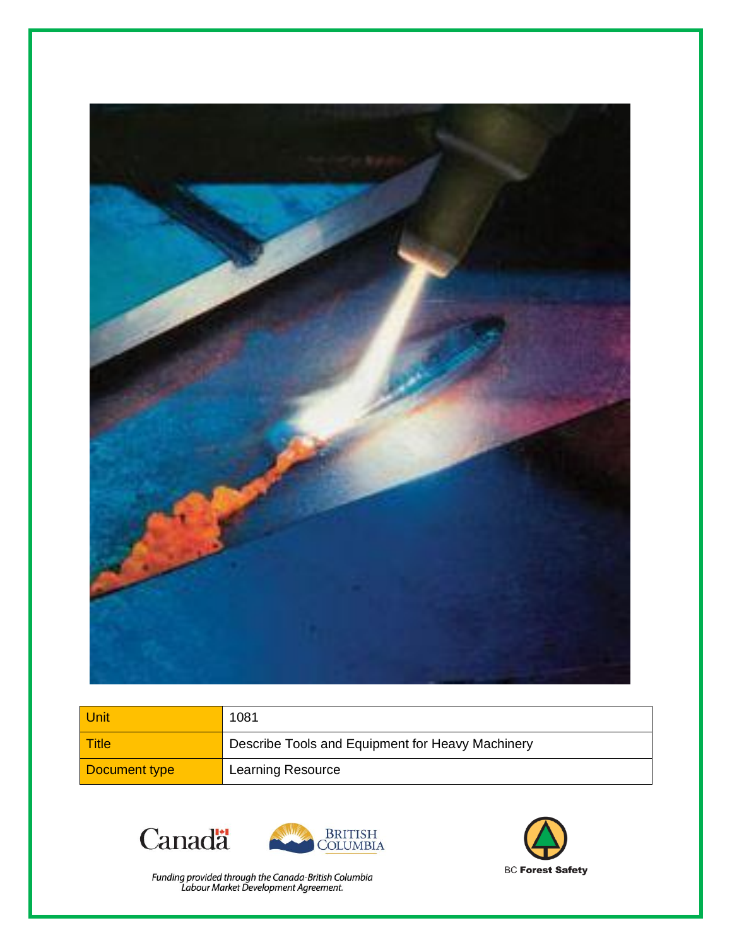

| Unit          | 1081                                             |
|---------------|--------------------------------------------------|
| Title         | Describe Tools and Equipment for Heavy Machinery |
| Document type | Learning Resource                                |





Funding provided through the Canada-British Columbia<br>Labour Market Development Agreement.

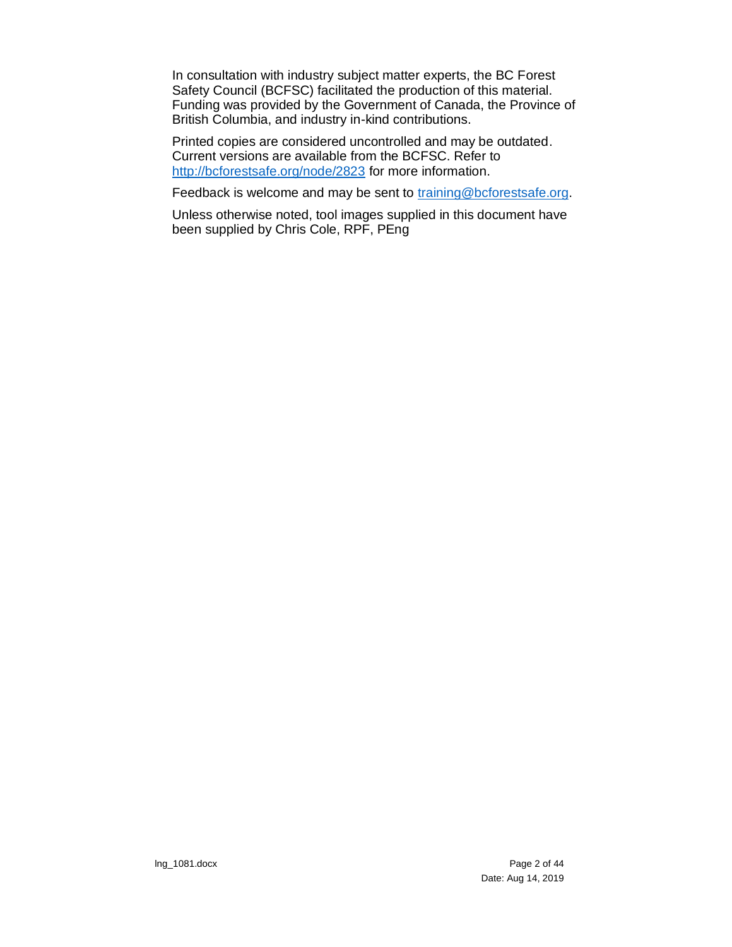In consultation with industry subject matter experts, the BC Forest Safety Council (BCFSC) facilitated the production of this material. Funding was provided by the Government of Canada, the Province of British Columbia, and industry in-kind contributions.

Printed copies are considered uncontrolled and may be outdated. Current versions are available from the BCFSC. Refer to <http://bcforestsafe.org/node/2823> for more information.

Feedback is welcome and may be sent to [training@bcforestsafe.org.](file:///C:/Users/Messier/AppData/Local/Temp/training@bcforestsafe.org)

Unless otherwise noted, tool images supplied in this document have been supplied by Chris Cole, RPF, PEng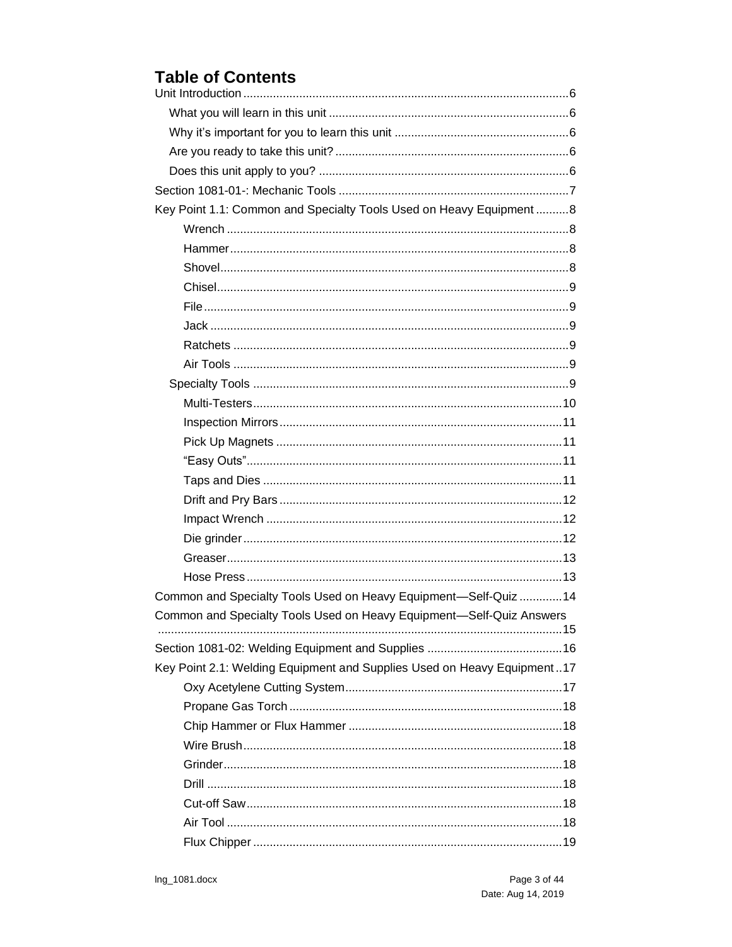## **Table of Contents**

| Key Point 1.1: Common and Specialty Tools Used on Heavy Equipment8      |
|-------------------------------------------------------------------------|
|                                                                         |
|                                                                         |
|                                                                         |
|                                                                         |
|                                                                         |
|                                                                         |
|                                                                         |
|                                                                         |
|                                                                         |
|                                                                         |
|                                                                         |
|                                                                         |
|                                                                         |
|                                                                         |
|                                                                         |
|                                                                         |
|                                                                         |
|                                                                         |
|                                                                         |
| Common and Specialty Tools Used on Heavy Equipment-Self-Quiz  14        |
| Common and Specialty Tools Used on Heavy Equipment-Self-Quiz Answers    |
|                                                                         |
|                                                                         |
| Key Point 2.1: Welding Equipment and Supplies Used on Heavy Equipment17 |
|                                                                         |
|                                                                         |
|                                                                         |
|                                                                         |
|                                                                         |
|                                                                         |
|                                                                         |
|                                                                         |
|                                                                         |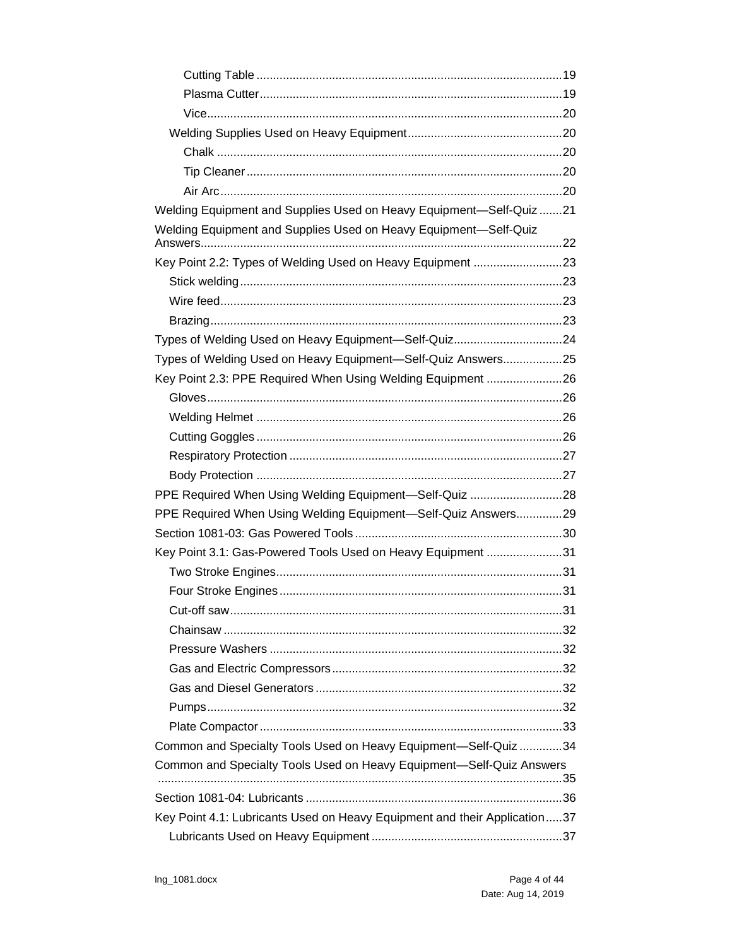| Welding Equipment and Supplies Used on Heavy Equipment-Self-Quiz21        |  |
|---------------------------------------------------------------------------|--|
| Welding Equipment and Supplies Used on Heavy Equipment-Self-Quiz          |  |
| Key Point 2.2: Types of Welding Used on Heavy Equipment 23                |  |
|                                                                           |  |
|                                                                           |  |
|                                                                           |  |
| Types of Welding Used on Heavy Equipment-Self-Quiz24                      |  |
| Types of Welding Used on Heavy Equipment-Self-Quiz Answers25              |  |
| Key Point 2.3: PPE Required When Using Welding Equipment 26               |  |
|                                                                           |  |
|                                                                           |  |
|                                                                           |  |
|                                                                           |  |
|                                                                           |  |
| PPE Required When Using Welding Equipment-Self-Quiz 28                    |  |
| PPE Required When Using Welding Equipment-Self-Quiz Answers29             |  |
|                                                                           |  |
| Key Point 3.1: Gas-Powered Tools Used on Heavy Equipment 31               |  |
|                                                                           |  |
|                                                                           |  |
|                                                                           |  |
|                                                                           |  |
|                                                                           |  |
|                                                                           |  |
|                                                                           |  |
|                                                                           |  |
|                                                                           |  |
| Common and Specialty Tools Used on Heavy Equipment-Self-Quiz 34           |  |
| Common and Specialty Tools Used on Heavy Equipment-Self-Quiz Answers      |  |
|                                                                           |  |
|                                                                           |  |
| Key Point 4.1: Lubricants Used on Heavy Equipment and their Application37 |  |
|                                                                           |  |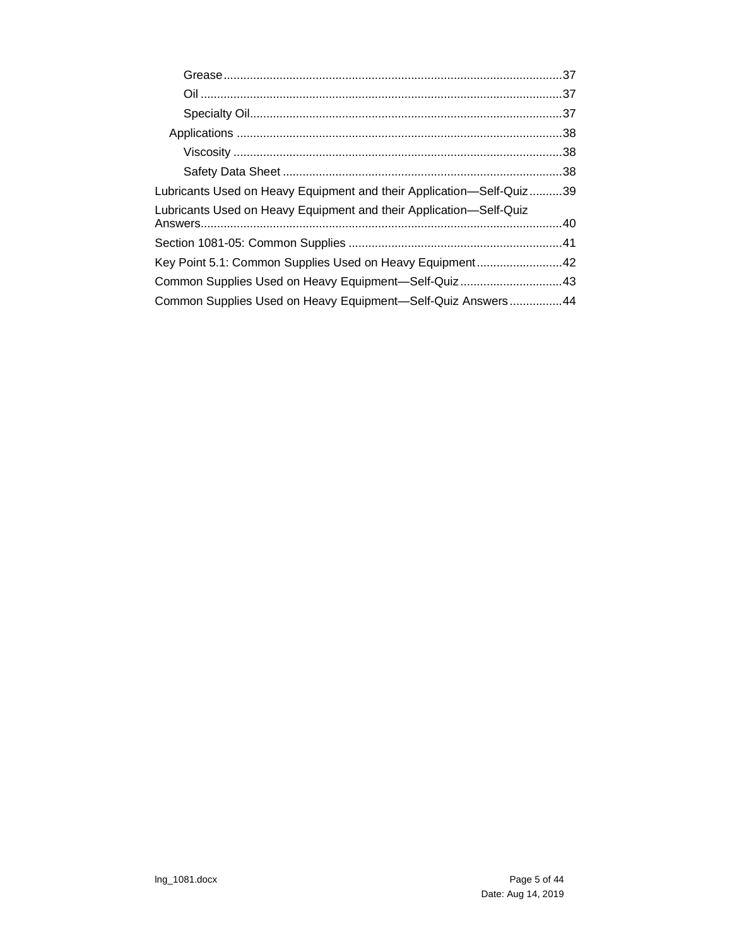| Lubricants Used on Heavy Equipment and their Application—Self-Quiz39 |  |
|----------------------------------------------------------------------|--|
| Lubricants Used on Heavy Equipment and their Application-Self-Quiz   |  |
|                                                                      |  |
| Key Point 5.1: Common Supplies Used on Heavy Equipment42             |  |
| Common Supplies Used on Heavy Equipment-Self-Quiz43                  |  |
| Common Supplies Used on Heavy Equipment-Self-Quiz Answers44          |  |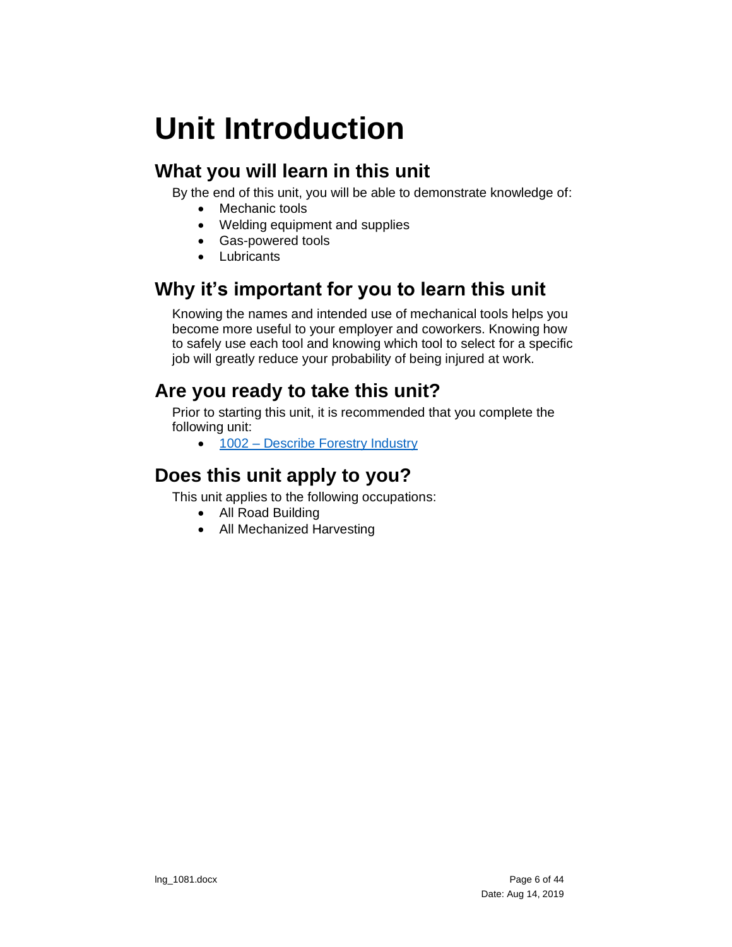# <span id="page-5-0"></span>**Unit Introduction**

## <span id="page-5-1"></span>**What you will learn in this unit**

By the end of this unit, you will be able to demonstrate knowledge of:

- Mechanic tools
- Welding equipment and supplies
- Gas-powered tools
- Lubricants

## <span id="page-5-2"></span>**Why it's important for you to learn this unit**

Knowing the names and intended use of mechanical tools helps you become more useful to your employer and coworkers. Knowing how to safely use each tool and knowing which tool to select for a specific job will greatly reduce your probability of being injured at work.

## <span id="page-5-3"></span>**Are you ready to take this unit?**

Prior to starting this unit, it is recommended that you complete the following unit:

• 1002 – Describe Forestry Industry

## <span id="page-5-4"></span>**Does this unit apply to you?**

This unit applies to the following occupations:

- All Road Building
- All Mechanized Harvesting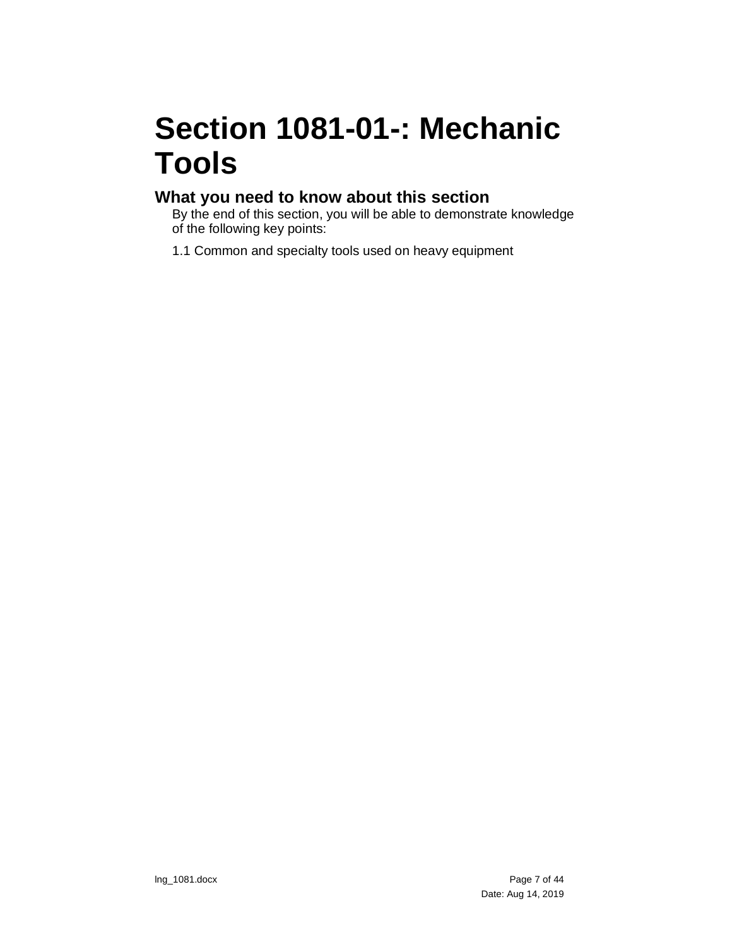# <span id="page-6-0"></span>**Section 1081-01-: Mechanic Tools**

#### **What you need to know about this section**

By the end of this section, you will be able to demonstrate knowledge of the following key points:

1.1 Common and specialty tools used on heavy equipment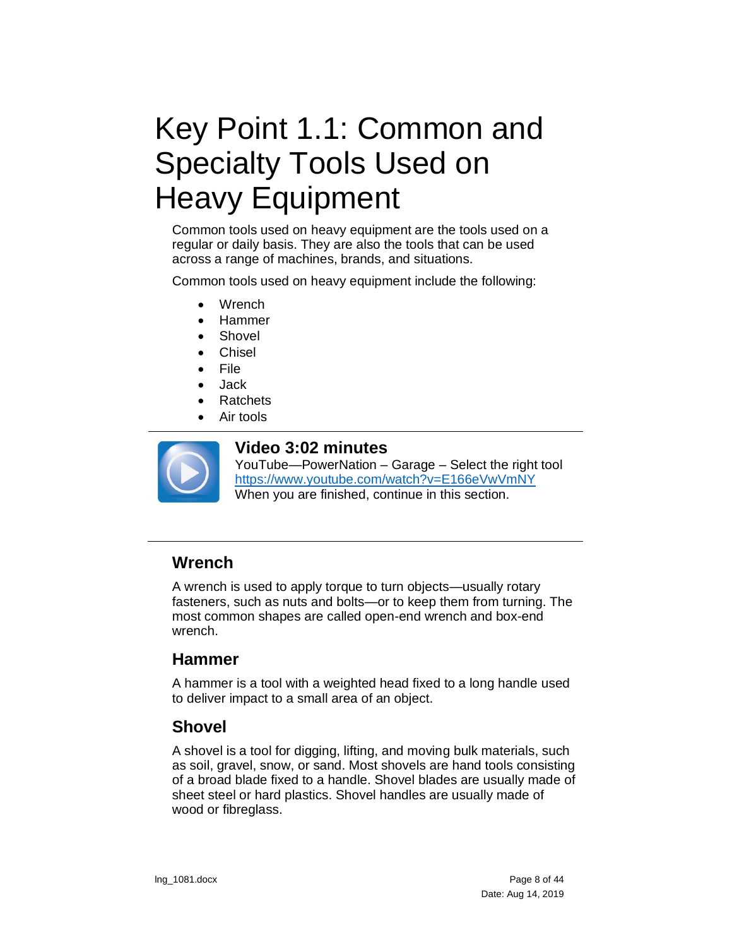# <span id="page-7-0"></span>Key Point 1.1: Common and Specialty Tools Used on Heavy Equipment

Common tools used on heavy equipment are the tools used on a regular or daily basis. They are also the tools that can be used across a range of machines, brands, and situations.

Common tools used on heavy equipment include the following:

- Wrench
- Hammer
- Shovel
- **Chisel**
- **File**
- Jack
- **Ratchets**
- Air tools



#### **Video 3:02 minutes**

YouTube—PowerNation – Garage – Select the right tool <https://www.youtube.com/watch?v=E166eVwVmNY> When you are finished, continue in this section.

### <span id="page-7-1"></span>**Wrench**

A wrench is used to apply torque to turn objects—usually rotary fasteners, such as nuts and bolts—or to keep them from turning. The most common shapes are called open-end wrench and box-end wrench.

#### <span id="page-7-2"></span>**Hammer**

A hammer is a tool with a weighted head fixed to a long handle used to deliver impact to a small area of an object.

#### <span id="page-7-3"></span>**Shovel**

A shovel is a tool for digging, lifting, and moving bulk materials, such as soil, gravel, snow, or sand. Most shovels are hand tools consisting of a broad blade fixed to a handle. Shovel blades are usually made of sheet steel or hard plastics. Shovel handles are usually made of wood or fibreglass.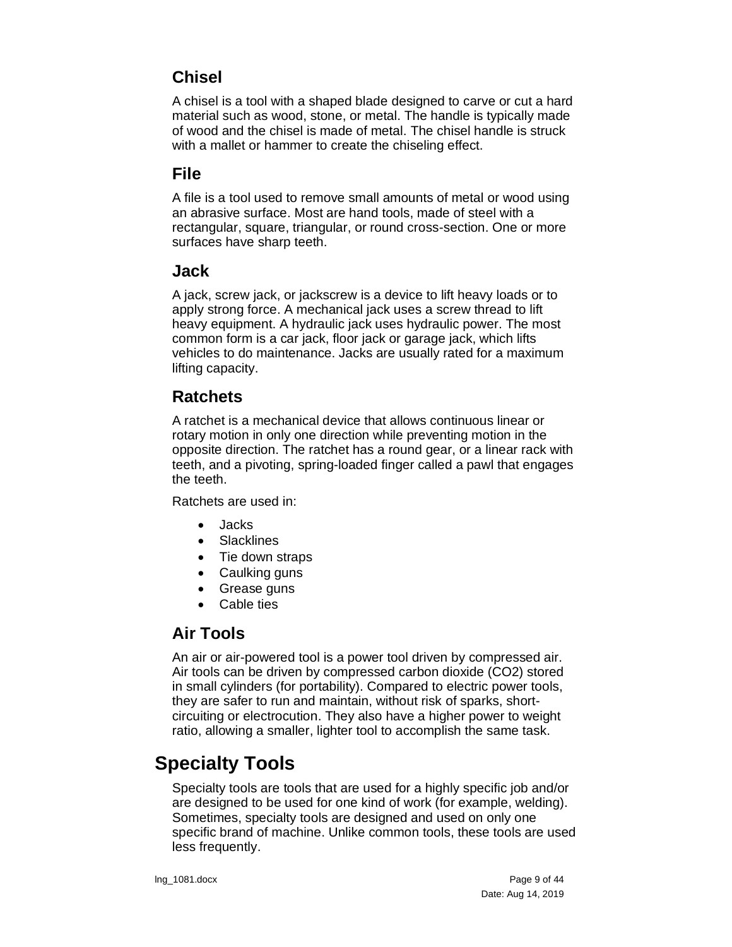### <span id="page-8-0"></span>**Chisel**

A chisel is a tool with a shaped blade designed to carve or cut a hard material such as wood, stone, or metal. The handle is typically made of wood and the chisel is made of metal. The chisel handle is struck with a mallet or hammer to create the chiseling effect.

### <span id="page-8-1"></span>**File**

A file is a tool used to remove small amounts of metal or wood using an abrasive surface. Most are hand tools, made of steel with a rectangular, square, triangular, or round cross-section. One or more surfaces have sharp teeth.

#### <span id="page-8-2"></span>**Jack**

A jack, screw jack, or jackscrew is a device to lift heavy loads or to apply strong force. A mechanical jack uses a screw thread to lift heavy equipment. A hydraulic jack uses hydraulic power. The most common form is a car jack, floor jack or garage jack, which lifts vehicles to do maintenance. Jacks are usually rated for a maximum lifting capacity.

#### <span id="page-8-3"></span>**Ratchets**

A ratchet is a mechanical device that allows continuous linear or rotary motion in only one direction while preventing motion in the opposite direction. The ratchet has a round gear, or a linear rack with teeth, and a pivoting, spring-loaded finger called a pawl that engages the teeth.

Ratchets are used in:

- Jacks
- Slacklines
- Tie down straps
- Caulking guns
- Grease guns
- Cable ties

### <span id="page-8-4"></span>**Air Tools**

An air or air-powered tool is a power tool driven by compressed air. Air tools can be driven by compressed carbon dioxide (CO2) stored in small cylinders (for portability). Compared to electric power tools, they are safer to run and maintain, without risk of sparks, shortcircuiting or electrocution. They also have a higher power to weight ratio, allowing a smaller, lighter tool to accomplish the same task.

## <span id="page-8-5"></span>**Specialty Tools**

Specialty tools are tools that are used for a highly specific job and/or are designed to be used for one kind of work (for example, welding). Sometimes, specialty tools are designed and used on only one specific brand of machine. Unlike common tools, these tools are used less frequently.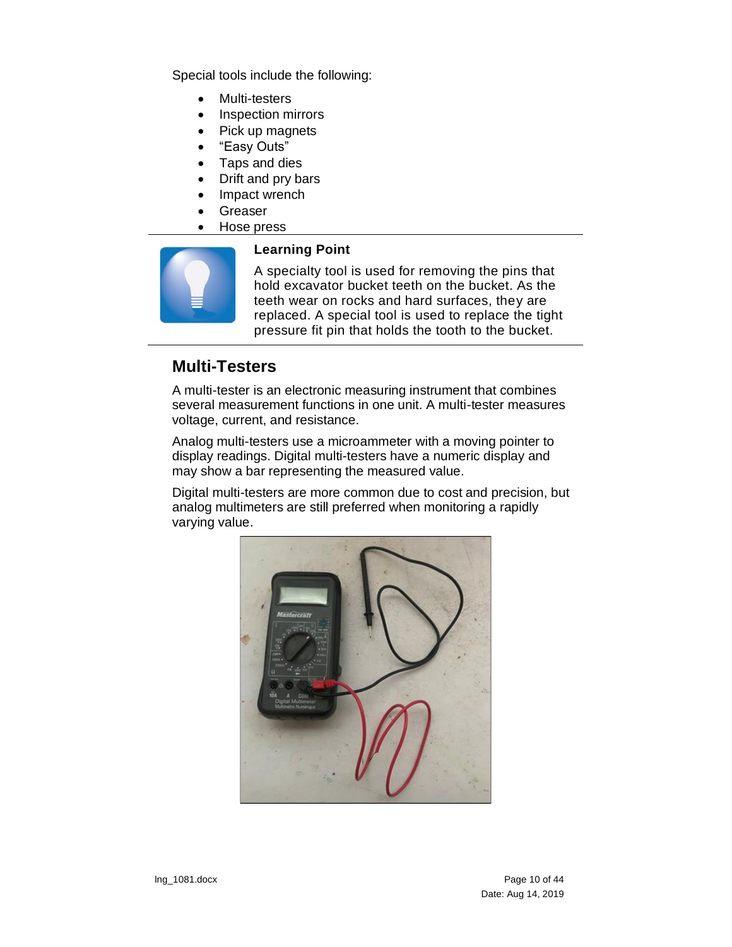Special tools include the following:

- Multi-testers
- Inspection mirrors
- Pick up magnets
- "Easy Outs"
- Taps and dies
- Drift and pry bars
- Impact wrench
- **Greaser**
- Hose press



#### **Learning Point**

A specialty tool is used for removing the pins that hold excavator bucket teeth on the bucket. As the teeth wear on rocks and hard surfaces, they are replaced. A special tool is used to replace the tight pressure fit pin that holds the tooth to the bucket.

### <span id="page-9-0"></span>**Multi-Testers**

A multi-tester is an electronic measuring instrument that combines several measurement functions in one unit. A multi-tester measures voltage, current, and resistance.

Analog multi-testers use a microammeter with a moving pointer to display readings. Digital multi-testers have a numeric display and may show a bar representing the measured value.

Digital multi-testers are more common due to cost and precision, but analog multimeters are still preferred when monitoring a rapidly varying value.

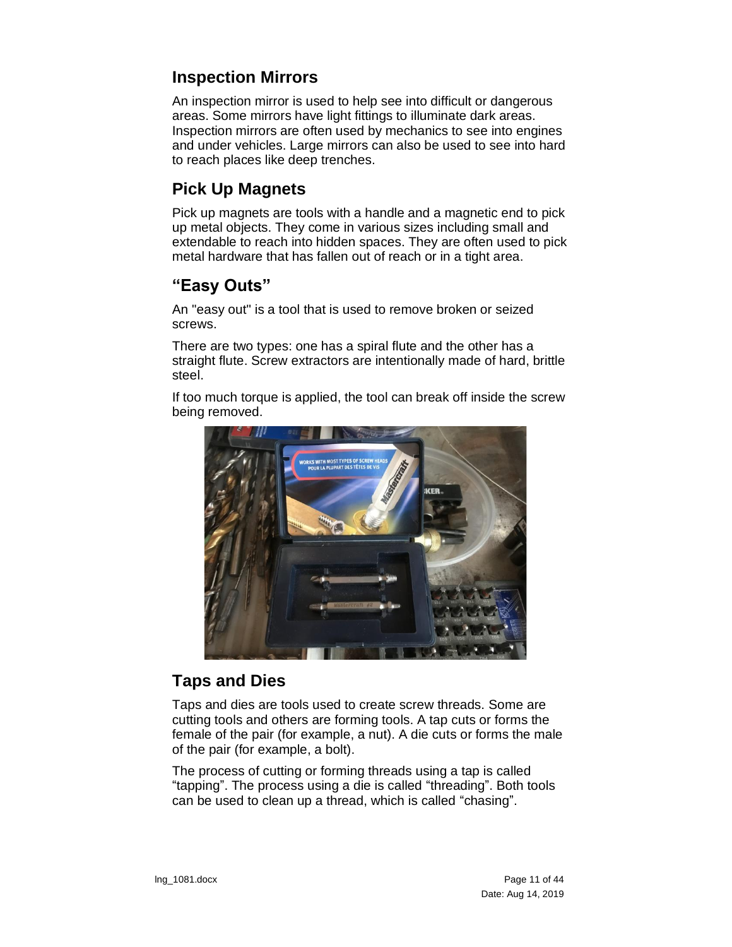### <span id="page-10-0"></span>**Inspection Mirrors**

An inspection mirror is used to help see into difficult or dangerous areas. Some mirrors have light fittings to illuminate dark areas. Inspection mirrors are often used by mechanics to see into engines and under vehicles. Large mirrors can also be used to see into hard to reach places like deep trenches.

### <span id="page-10-1"></span>**Pick Up Magnets**

Pick up magnets are tools with a handle and a magnetic end to pick up metal objects. They come in various sizes including small and extendable to reach into hidden spaces. They are often used to pick metal hardware that has fallen out of reach or in a tight area.

### <span id="page-10-2"></span>**"Easy Outs"**

An "easy out" is a tool that is used to remove broken or seized screws.

There are two types: one has a spiral flute and the other has a straight flute. Screw extractors are intentionally made of hard, brittle steel.

If too much torque is applied, the tool can break off inside the screw being removed.



#### <span id="page-10-3"></span>**Taps and Dies**

Taps and dies are tools used to create screw threads. Some are cutting tools and others are forming tools. A tap cuts or forms the female of the pair (for example, a nut). A die cuts or forms the male of the pair (for example, a bolt).

The process of cutting or forming threads using a tap is called "tapping". The process using a die is called "threading". Both tools can be used to clean up a thread, which is called "chasing".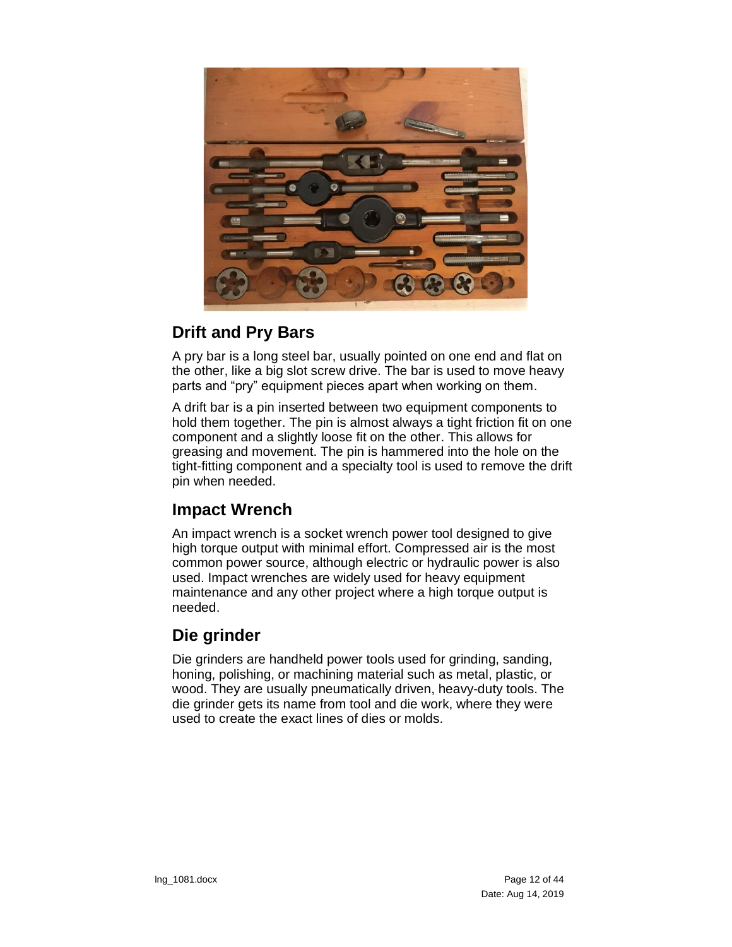

### <span id="page-11-0"></span>**Drift and Pry Bars**

A pry bar is a long steel bar, usually pointed on one end and flat on the other, like a big slot screw drive. The bar is used to move heavy parts and "pry" equipment pieces apart when working on them.

A drift bar is a pin inserted between two equipment components to hold them together. The pin is almost always a tight friction fit on one component and a slightly loose fit on the other. This allows for greasing and movement. The pin is hammered into the hole on the tight-fitting component and a specialty tool is used to remove the drift pin when needed.

### <span id="page-11-1"></span>**Impact Wrench**

An impact wrench is a socket wrench power tool designed to give high torque output with minimal effort. Compressed air is the most common power source, although electric or hydraulic power is also used. Impact wrenches are widely used for heavy equipment maintenance and any other project where a high torque output is needed.

### <span id="page-11-2"></span>**Die grinder**

Die grinders are handheld power tools used for grinding, sanding, honing, polishing, or machining material such as metal, plastic, or wood. They are usually pneumatically driven, heavy-duty tools. The die grinder gets its name from tool and die work, where they were used to create the exact lines of dies or molds.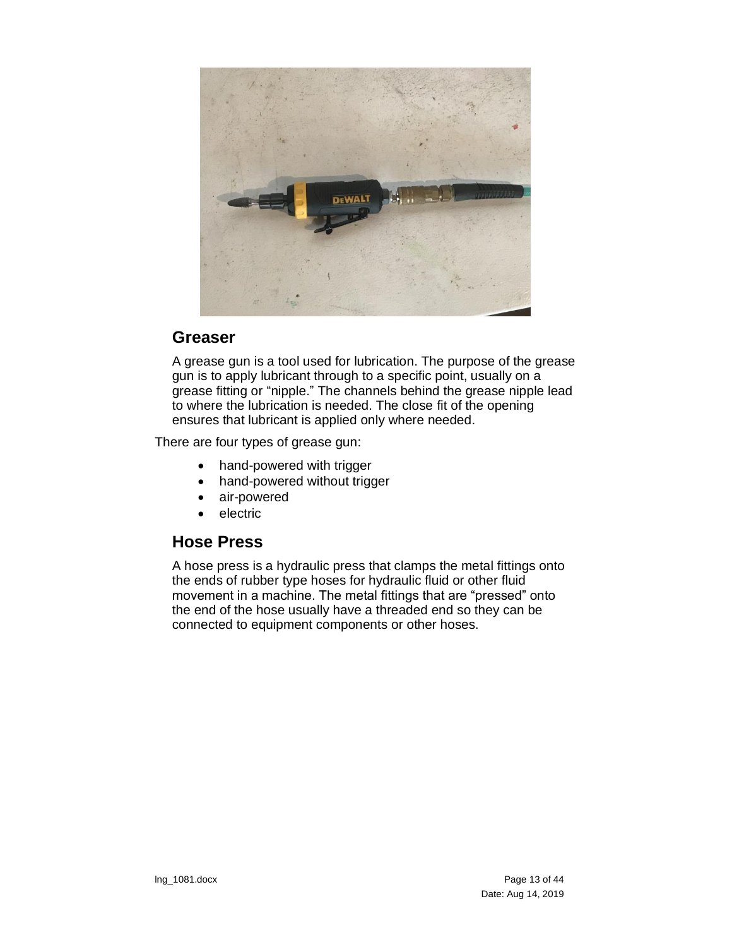

#### <span id="page-12-0"></span>**Greaser**

A grease gun is a tool used for lubrication. The purpose of the grease gun is to apply lubricant through to a specific point, usually on a grease fitting or "nipple." The channels behind the grease nipple lead to where the lubrication is needed. The close fit of the opening ensures that lubricant is applied only where needed.

There are four types of grease gun:

- hand-powered with trigger
- hand-powered without trigger
- air-powered
- **electric**

#### <span id="page-12-1"></span>**Hose Press**

A hose press is a hydraulic press that clamps the metal fittings onto the ends of rubber type hoses for hydraulic fluid or other fluid movement in a machine. The metal fittings that are "pressed" onto the end of the hose usually have a threaded end so they can be connected to equipment components or other hoses.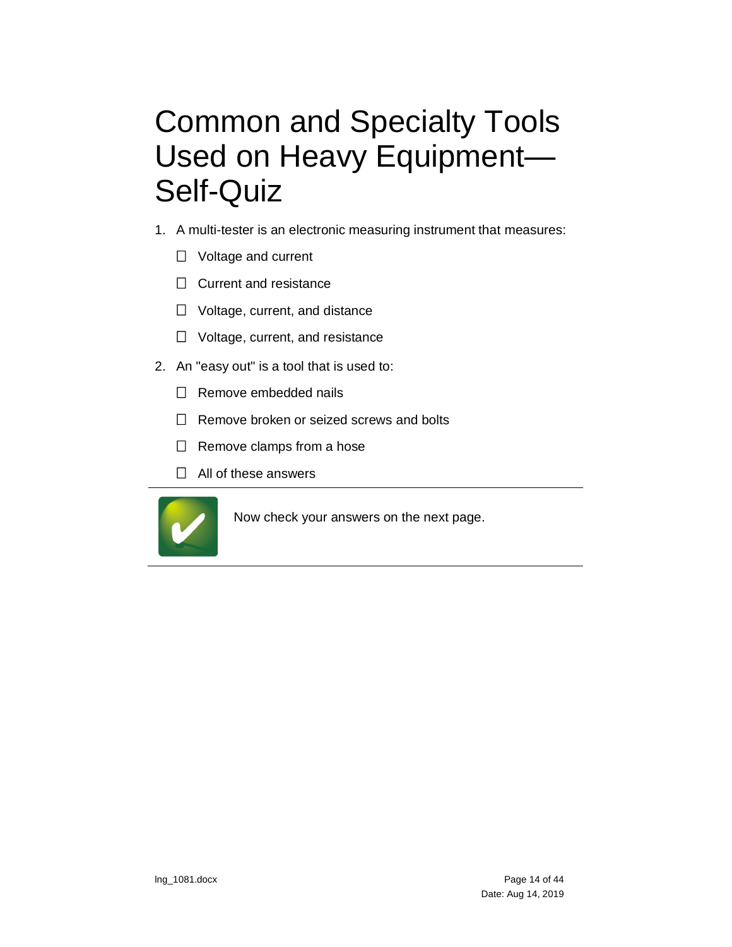# <span id="page-13-0"></span>Common and Specialty Tools Used on Heavy Equipment— Self-Quiz

- 1. A multi-tester is an electronic measuring instrument that measures:
	- $\Box$  Voltage and current
	- $\Box$  Current and resistance
	- $\Box$  Voltage, current, and distance
	- $\Box$  Voltage, current, and resistance
- 2. An "easy out" is a tool that is used to:
	- $\Box$  Remove embedded nails
	- $\Box$  Remove broken or seized screws and bolts
	- $\Box$  Remove clamps from a hose
	- $\Box$  All of these answers



Now check your answers on the next page.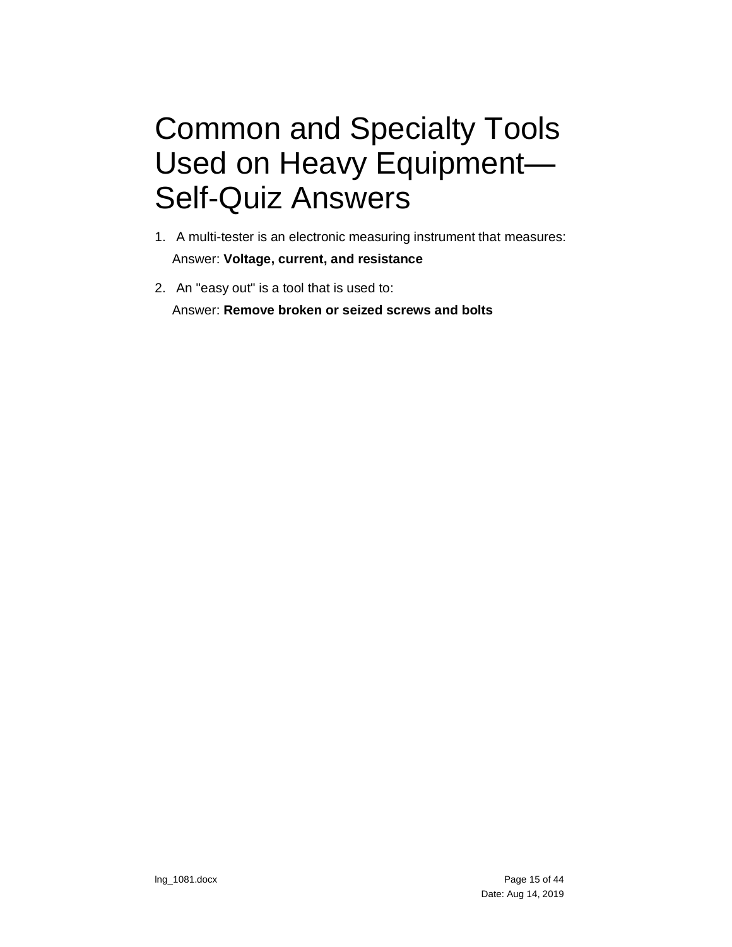# <span id="page-14-0"></span>Common and Specialty Tools Used on Heavy Equipment— Self-Quiz Answers

- 1. A multi-tester is an electronic measuring instrument that measures: Answer: **Voltage, current, and resistance**
- 2. An "easy out" is a tool that is used to: Answer: **Remove broken or seized screws and bolts**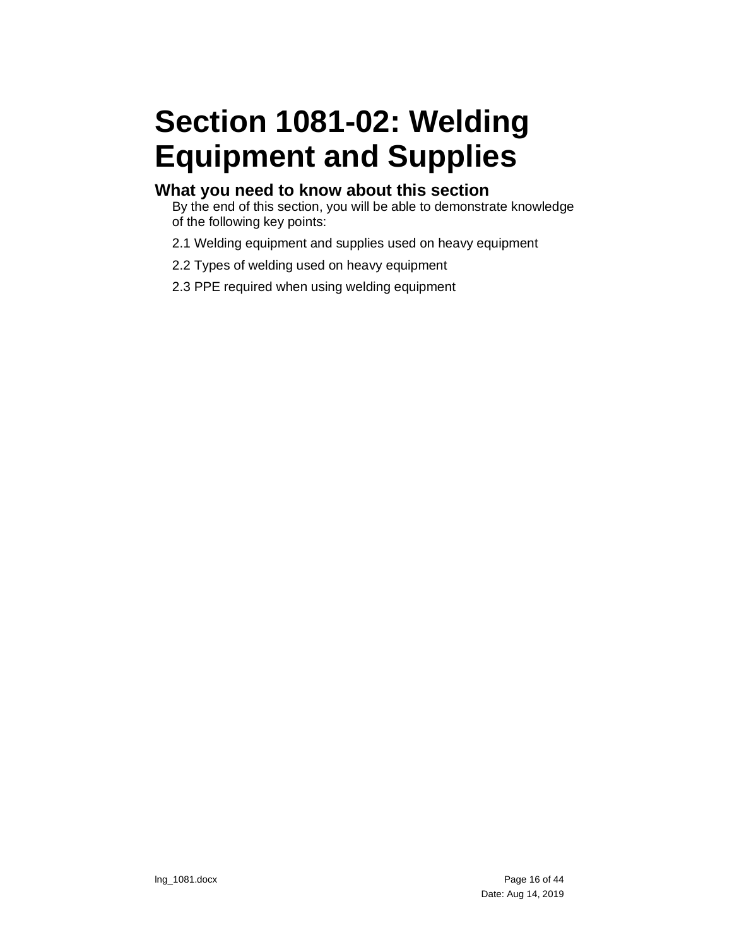# <span id="page-15-0"></span>**Section 1081-02: Welding Equipment and Supplies**

#### **What you need to know about this section**

By the end of this section, you will be able to demonstrate knowledge of the following key points:

- 2.1 Welding equipment and supplies used on heavy equipment
- 2.2 Types of welding used on heavy equipment
- 2.3 PPE required when using welding equipment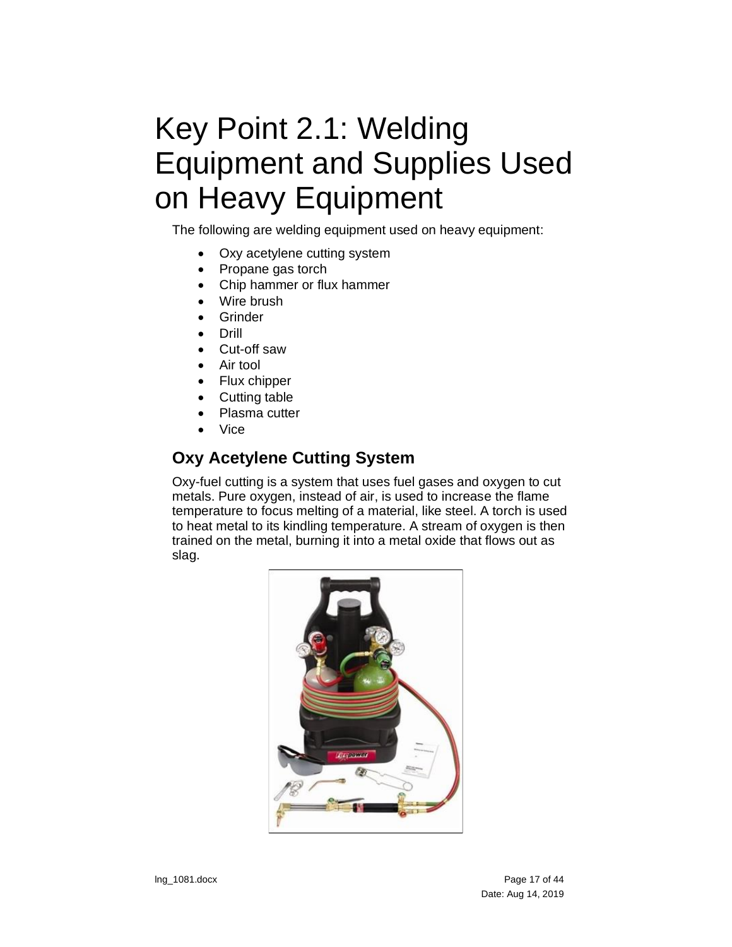# <span id="page-16-0"></span>Key Point 2.1: Welding Equipment and Supplies Used on Heavy Equipment

The following are welding equipment used on heavy equipment:

- Oxy acetylene cutting system
- Propane gas torch
- Chip hammer or flux hammer
- Wire brush
- Grinder
- Drill
- Cut-off saw
- Air tool
- Flux chipper
- Cutting table
- Plasma cutter
- Vice

### <span id="page-16-1"></span>**Oxy Acetylene Cutting System**

Oxy-fuel cutting is a system that uses fuel gases and oxygen to cut metals. Pure oxygen, instead of air, is used to increase the flame temperature to focus melting of a material, like steel. A torch is used to heat metal to its kindling temperature. A stream of oxygen is then trained on the metal, burning it into a metal oxide that flows out as slag.

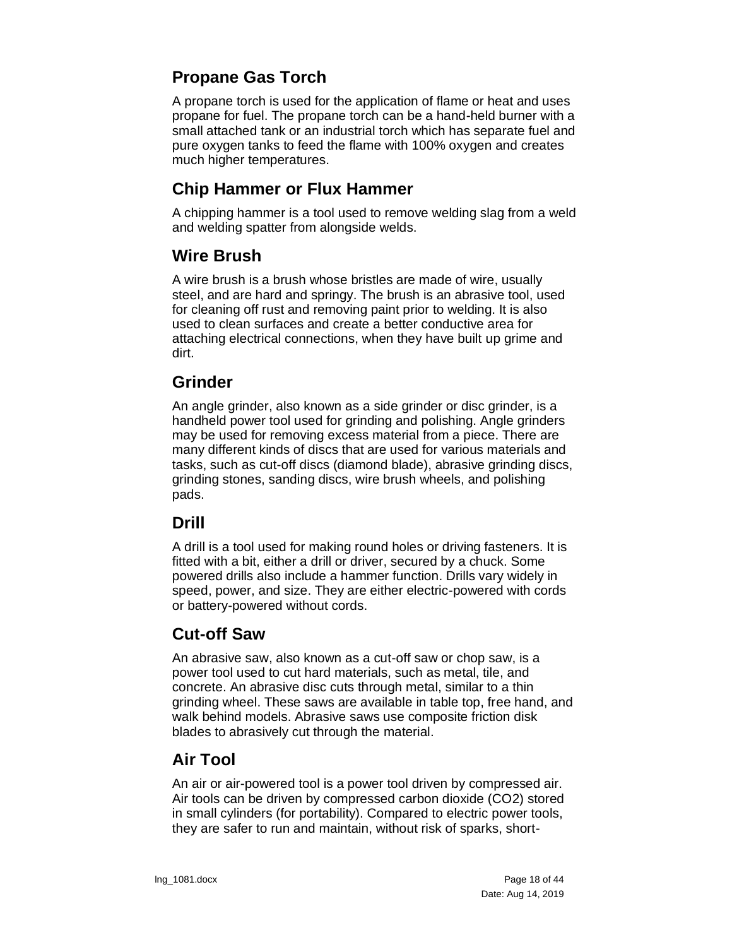### <span id="page-17-0"></span>**Propane Gas Torch**

A propane torch is used for the application of flame or heat and uses propane for fuel. The propane torch can be a hand-held burner with a small attached tank or an industrial torch which has separate fuel and pure oxygen tanks to feed the flame with 100% oxygen and creates much higher temperatures.

### <span id="page-17-1"></span>**Chip Hammer or Flux Hammer**

A chipping hammer is a tool used to remove welding slag from a weld and welding spatter from alongside welds.

### <span id="page-17-2"></span>**Wire Brush**

A wire brush is a brush whose bristles are made of wire, usually steel, and are hard and springy. The brush is an abrasive tool, used for cleaning off rust and removing paint prior to welding. It is also used to clean surfaces and create a better conductive area for attaching electrical connections, when they have built up grime and dirt.

#### <span id="page-17-3"></span>**Grinder**

An angle grinder, also known as a side grinder or disc grinder, is a handheld power tool used for grinding and polishing. Angle grinders may be used for removing excess material from a piece. There are many different kinds of discs that are used for various materials and tasks, such as cut-off discs (diamond blade), abrasive grinding discs, grinding stones, sanding discs, wire brush wheels, and polishing pads.

### <span id="page-17-4"></span>**Drill**

A drill is a tool used for making round holes or driving fasteners. It is fitted with a bit, either a drill or driver, secured by a chuck. Some powered drills also include a hammer function. Drills vary widely in speed, power, and size. They are either electric-powered with cords or battery-powered without cords.

### <span id="page-17-5"></span>**Cut-off Saw**

An abrasive saw, also known as a cut-off saw or chop saw, is a power tool used to cut hard materials, such as metal, tile, and concrete. An abrasive disc cuts through metal, similar to a thin grinding wheel. These saws are available in table top, free hand, and walk behind models. Abrasive saws use composite friction disk blades to abrasively cut through the material.

### <span id="page-17-6"></span>**Air Tool**

An air or air-powered tool is a power tool driven by compressed air. Air tools can be driven by compressed carbon dioxide (CO2) stored in small cylinders (for portability). Compared to electric power tools, they are safer to run and maintain, without risk of sparks, short-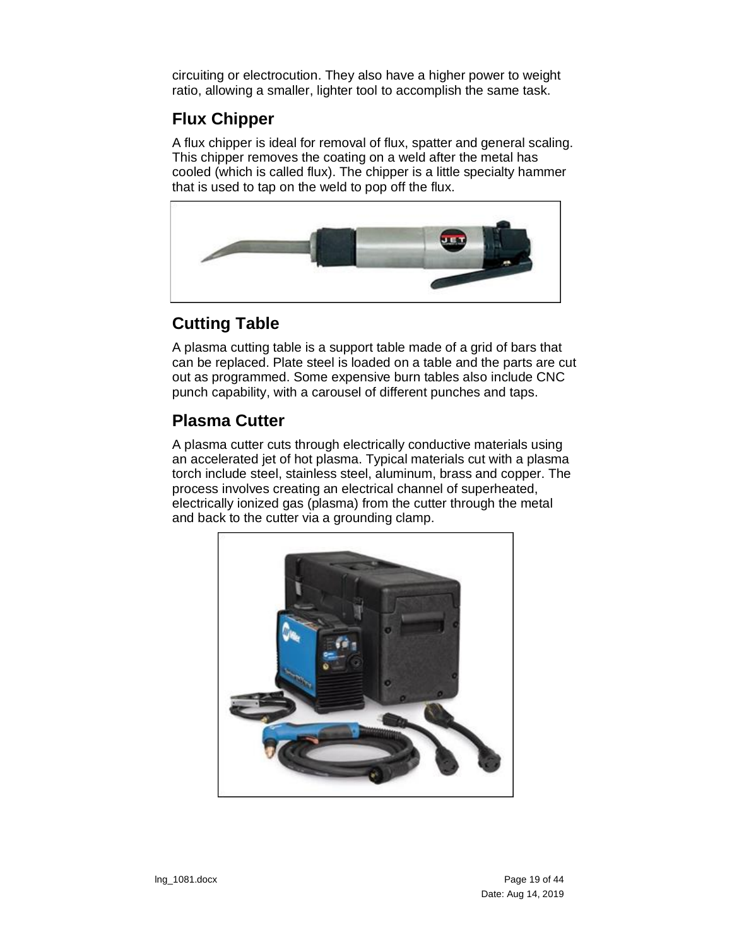circuiting or electrocution. They also have a higher power to weight ratio, allowing a smaller, lighter tool to accomplish the same task.

### <span id="page-18-0"></span>**Flux Chipper**

A flux chipper is ideal for removal of flux, spatter and general scaling. This chipper removes the coating on a weld after the metal has cooled (which is called flux). The chipper is a little specialty hammer that is used to tap on the weld to pop off the flux.



### <span id="page-18-1"></span>**Cutting Table**

A plasma cutting table is a support table made of a grid of bars that can be replaced. Plate steel is loaded on a table and the parts are cut out as programmed. Some expensive burn tables also include CNC punch capability, with a carousel of different punches and taps.

### <span id="page-18-2"></span>**Plasma Cutter**

A plasma cutter cuts through electrically conductive materials using an accelerated jet of hot plasma. Typical materials cut with a plasma torch include steel, stainless steel, aluminum, brass and copper. The process involves creating an electrical channel of superheated, electrically ionized gas (plasma) from the cutter through the metal and back to the cutter via a grounding clamp.

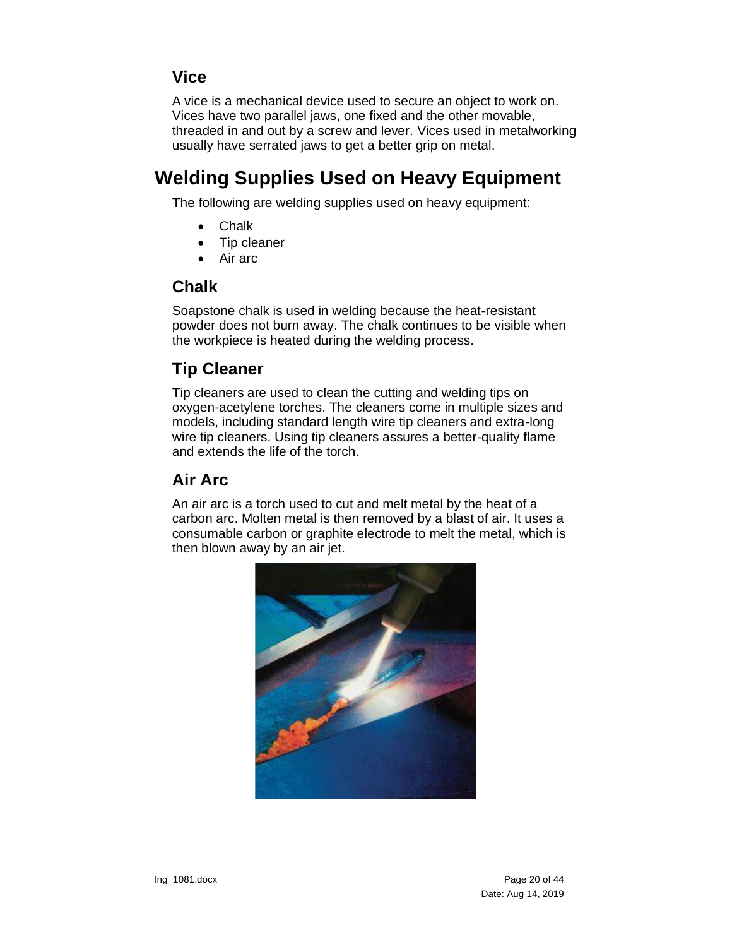### <span id="page-19-0"></span>**Vice**

A vice is a mechanical device used to secure an object to work on. Vices have two parallel jaws, one fixed and the other movable, threaded in and out by a screw and lever. Vices used in metalworking usually have serrated jaws to get a better grip on metal.

## <span id="page-19-1"></span>**Welding Supplies Used on Heavy Equipment**

The following are welding supplies used on heavy equipment:

- Chalk
- Tip cleaner
- Air arc

#### <span id="page-19-2"></span>**Chalk**

Soapstone chalk is used in welding because the heat-resistant powder does not burn away. The chalk continues to be visible when the workpiece is heated during the welding process.

### <span id="page-19-3"></span>**Tip Cleaner**

Tip cleaners are used to clean the cutting and welding tips on oxygen-acetylene torches. The cleaners come in multiple sizes and models, including standard length wire tip cleaners and extra-long wire tip cleaners. Using tip cleaners assures a better-quality flame and extends the life of the torch.

### <span id="page-19-4"></span>**Air Arc**

An air arc is a torch used to cut and melt metal by the heat of a carbon arc. Molten metal is then removed by a blast of air. It uses a consumable carbon or graphite electrode to melt the metal, which is then blown away by an air jet.

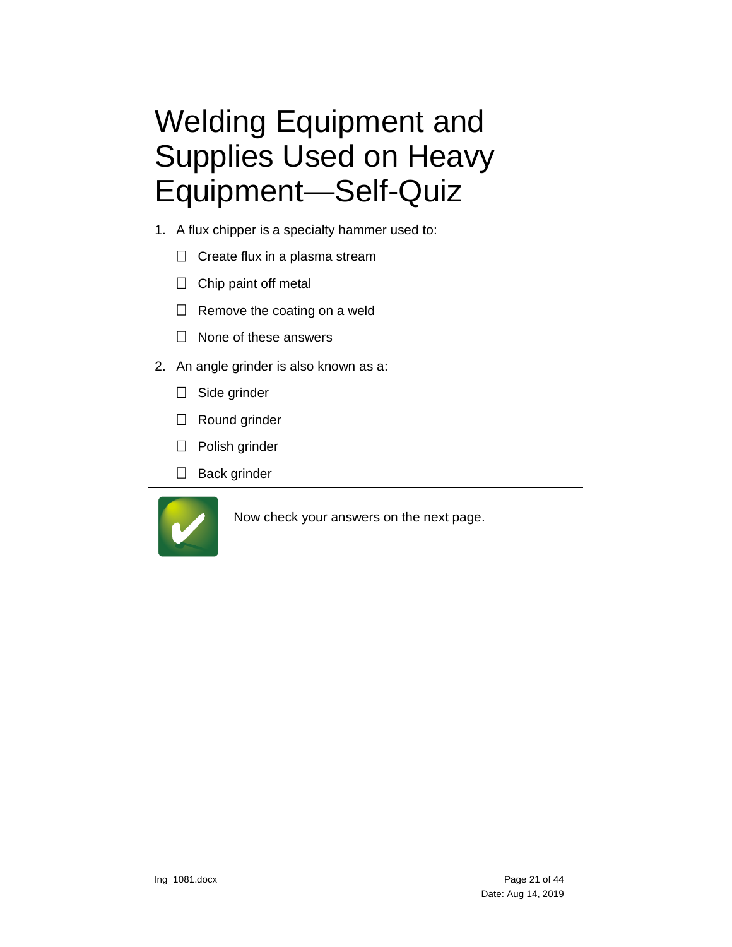# <span id="page-20-0"></span>Welding Equipment and Supplies Used on Heavy Equipment—Self-Quiz

- 1. A flux chipper is a specialty hammer used to:
	- $\Box$  Create flux in a plasma stream
	- $\Box$  Chip paint off metal
	- $\Box$  Remove the coating on a weld
	- $\Box$  None of these answers
- 2. An angle grinder is also known as a:
	- □ Side grinder
	- □ Round grinder
	- □ Polish grinder
	- $\Box$  Back grinder



Now check your answers on the next page.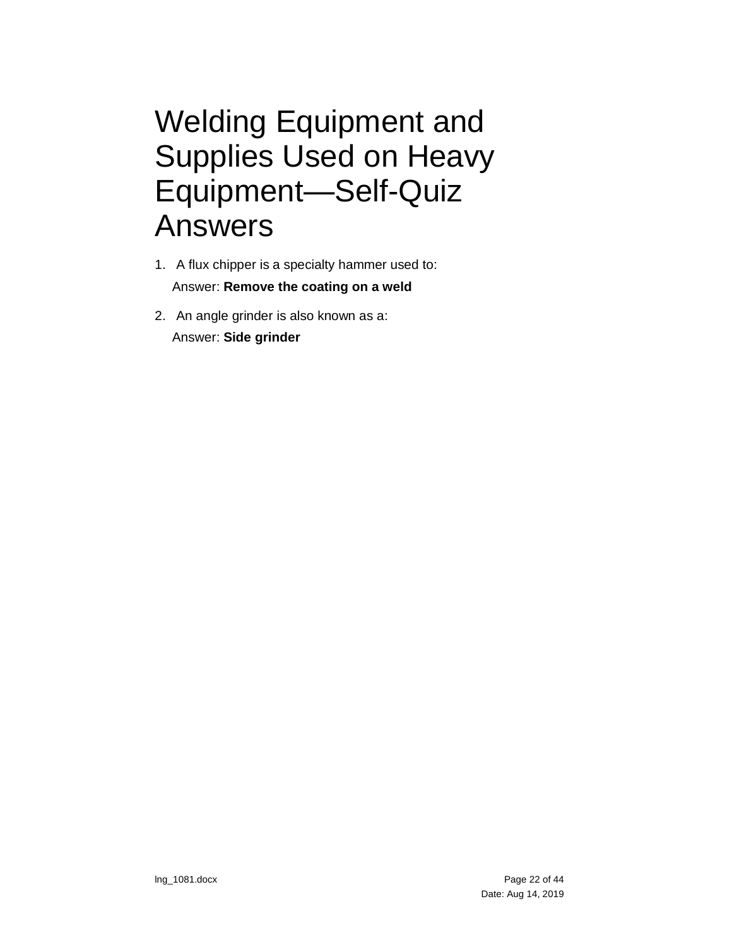## <span id="page-21-0"></span>Welding Equipment and Supplies Used on Heavy Equipment—Self-Quiz Answers

- 1. A flux chipper is a specialty hammer used to: Answer: **Remove the coating on a weld**
- 2. An angle grinder is also known as a: Answer: **Side grinder**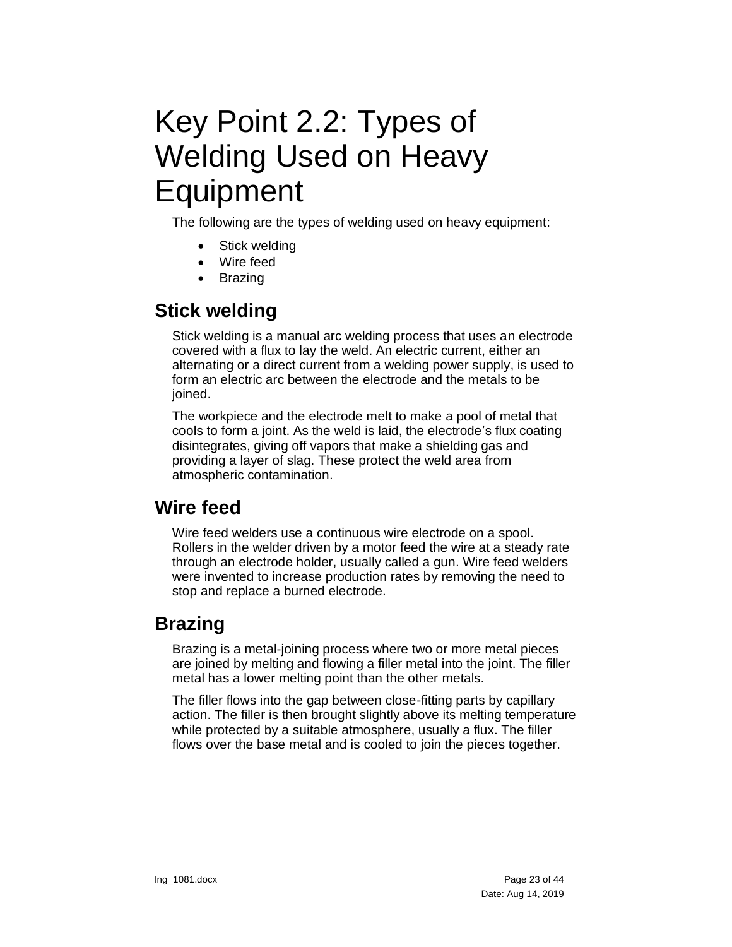## <span id="page-22-0"></span>Key Point 2.2: Types of Welding Used on Heavy **Equipment**

The following are the types of welding used on heavy equipment:

- Stick welding
- Wire feed
- Brazing

## <span id="page-22-1"></span>**Stick welding**

Stick welding is a manual arc welding process that uses an electrode covered with a flux to lay the weld. An electric current, either an alternating or a direct current from a welding power supply, is used to form an electric arc between the electrode and the metals to be ioined.

The workpiece and the electrode melt to make a pool of metal that cools to form a joint. As the weld is laid, the electrode's flux coating disintegrates, giving off vapors that make a shielding gas and providing a layer of slag. These protect the weld area from atmospheric contamination.

## <span id="page-22-2"></span>**Wire feed**

Wire feed welders use a continuous wire electrode on a spool. Rollers in the welder driven by a motor feed the wire at a steady rate through an electrode holder, usually called a gun. Wire feed welders were invented to increase production rates by removing the need to stop and replace a burned electrode.

## <span id="page-22-3"></span>**Brazing**

Brazing is a metal-joining process where two or more metal pieces are joined by melting and flowing a filler metal into the joint. The filler metal has a lower melting point than the other metals.

The filler flows into the gap between close-fitting parts by capillary action. The filler is then brought slightly above its melting temperature while protected by a suitable atmosphere, usually a flux. The filler flows over the base metal and is cooled to join the pieces together.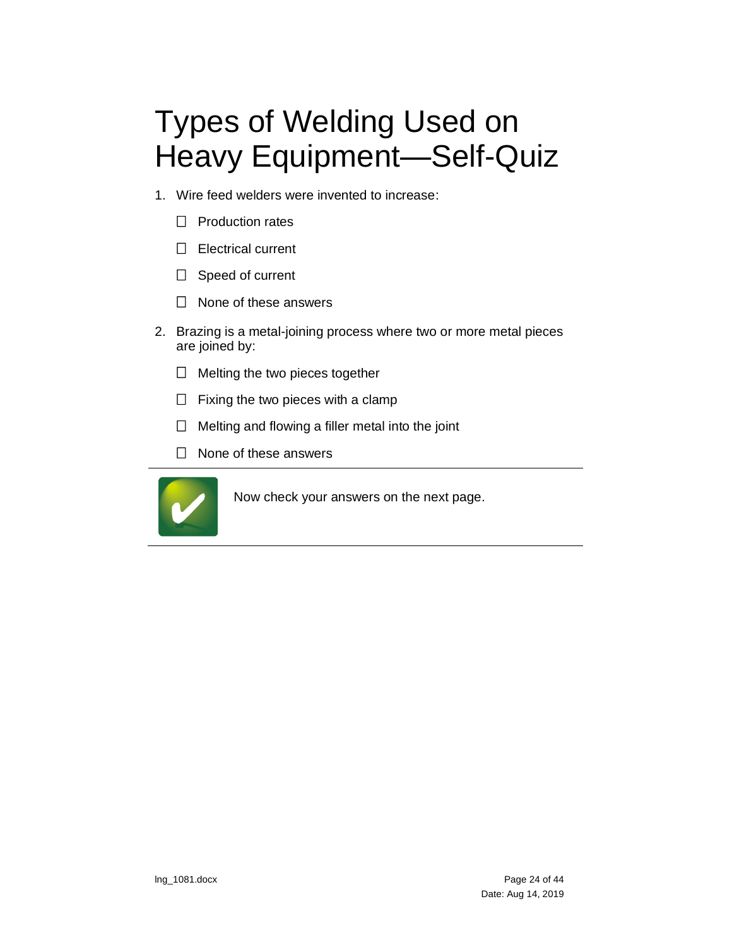# <span id="page-23-0"></span>Types of Welding Used on Heavy Equipment—Self-Quiz

- 1. Wire feed welders were invented to increase:
	- $\Box$  Production rates
	- $\Box$  Electrical current
	- $\Box$  Speed of current
	- $\Box$  None of these answers
- 2. Brazing is a metal-joining process where two or more metal pieces are joined by:
	- $\Box$  Melting the two pieces together
	- $\Box$  Fixing the two pieces with a clamp
	- $\Box$  Melting and flowing a filler metal into the joint
	- $\Box$  None of these answers



Now check your answers on the next page.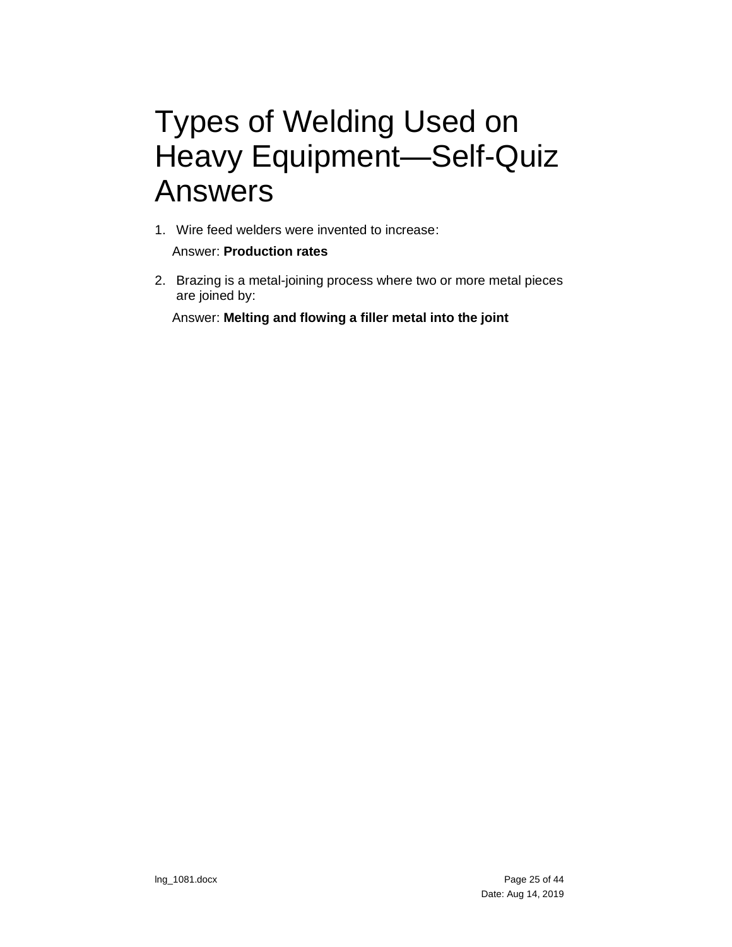## <span id="page-24-0"></span>Types of Welding Used on Heavy Equipment—Self-Quiz Answers

1. Wire feed welders were invented to increase:

Answer: **Production rates**

2. Brazing is a metal-joining process where two or more metal pieces are joined by:

Answer: **Melting and flowing a filler metal into the joint**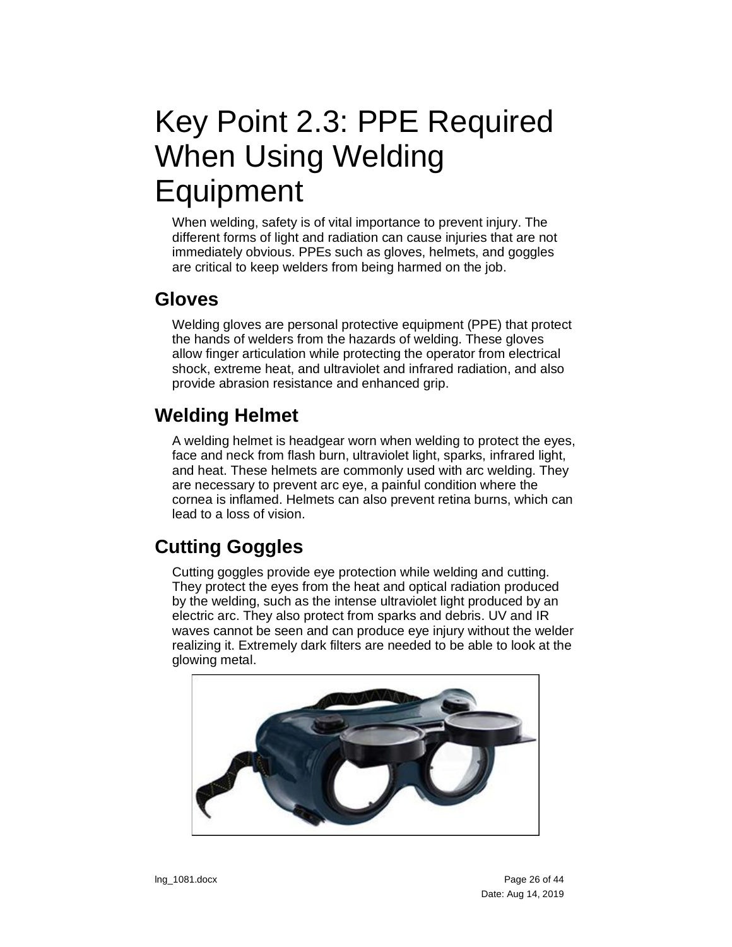# <span id="page-25-0"></span>Key Point 2.3: PPE Required When Using Welding **Equipment**

When welding, safety is of vital importance to prevent injury. The different forms of light and radiation can cause injuries that are not immediately obvious. PPEs such as gloves, helmets, and goggles are critical to keep welders from being harmed on the job.

### <span id="page-25-1"></span>**Gloves**

Welding gloves are personal protective equipment (PPE) that protect the hands of welders from the hazards of welding. These gloves allow finger articulation while protecting the operator from electrical shock, extreme heat, and ultraviolet and infrared radiation, and also provide abrasion resistance and enhanced grip.

## <span id="page-25-2"></span>**Welding Helmet**

A welding helmet is headgear worn when welding to protect the eyes, face and neck from flash burn, ultraviolet light, sparks, infrared light, and heat. These helmets are commonly used with arc welding. They are necessary to prevent arc eye, a painful condition where the cornea is inflamed. Helmets can also prevent retina burns, which can lead to a loss of vision.

## <span id="page-25-3"></span>**Cutting Goggles**

Cutting goggles provide eye protection while welding and cutting. They protect the eyes from the heat and optical radiation produced by the welding, such as the intense ultraviolet light produced by an electric arc. They also protect from sparks and debris. UV and IR waves cannot be seen and can produce eye injury without the welder realizing it. Extremely dark filters are needed to be able to look at the glowing metal.

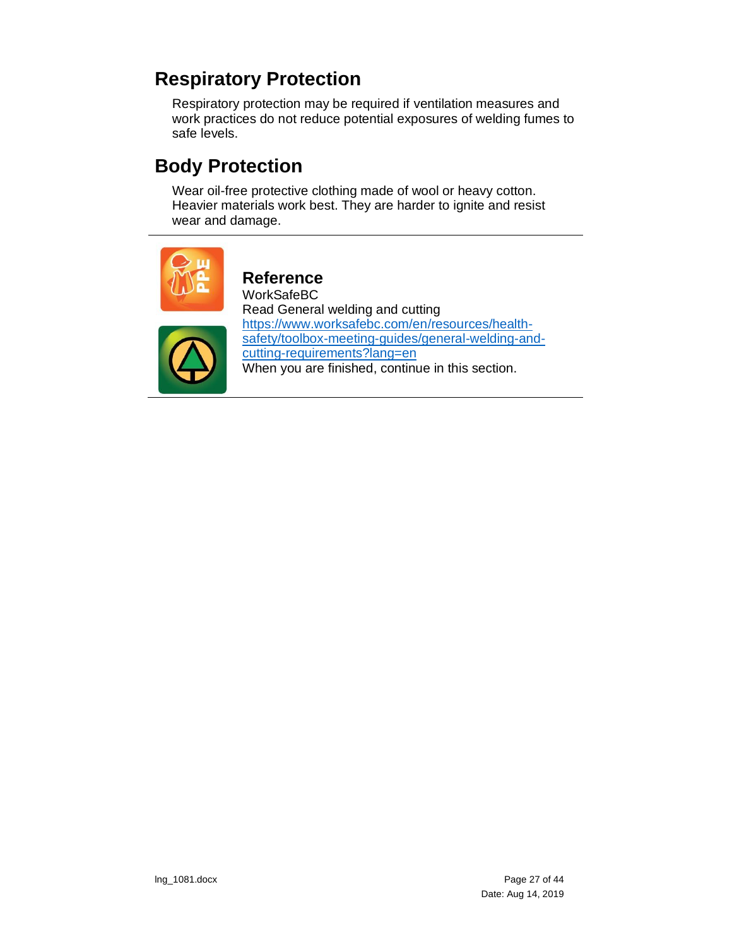## <span id="page-26-0"></span>**Respiratory Protection**

Respiratory protection may be required if ventilation measures and work practices do not reduce potential exposures of welding fumes to safe levels.

## <span id="page-26-1"></span>**Body Protection**

Wear oil-free protective clothing made of wool or heavy cotton. Heavier materials work best. They are harder to ignite and resist wear and damage.



#### **Reference** WorkSafeBC

Read General welding and cutting [https://www.worksafebc.com/en/resources/health](https://www.worksafebc.com/en/resources/health-safety/toolbox-meeting-guides/general-welding-and-cutting-requirements?lang=en)[safety/toolbox-meeting-guides/general-welding-and](https://www.worksafebc.com/en/resources/health-safety/toolbox-meeting-guides/general-welding-and-cutting-requirements?lang=en)[cutting-requirements?lang=en](https://www.worksafebc.com/en/resources/health-safety/toolbox-meeting-guides/general-welding-and-cutting-requirements?lang=en) When you are finished, continue in this section.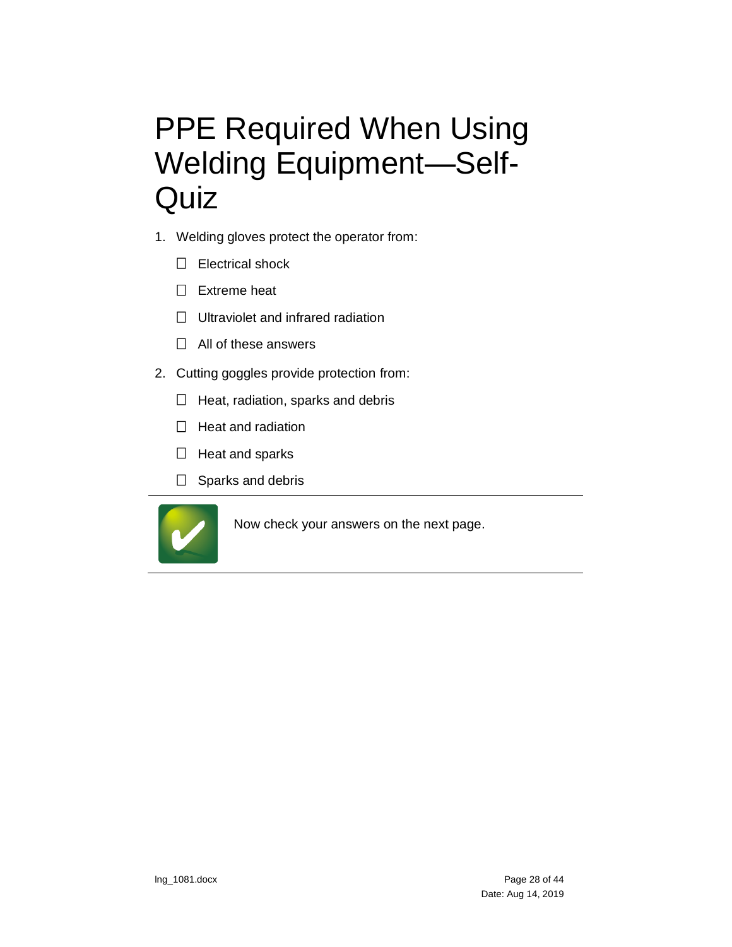# <span id="page-27-0"></span>PPE Required When Using Welding Equipment—Self-**Quiz**

- 1. Welding gloves protect the operator from:
	- $\Box$  Electrical shock
	- $\Box$  Extreme heat
	- $\Box$  Ultraviolet and infrared radiation
	- $\Box$  All of these answers
- 2. Cutting goggles provide protection from:
	- $\Box$  Heat, radiation, sparks and debris
	- $\Box$  Heat and radiation
	- $\Box$  Heat and sparks
	- $\Box$  Sparks and debris



Now check your answers on the next page.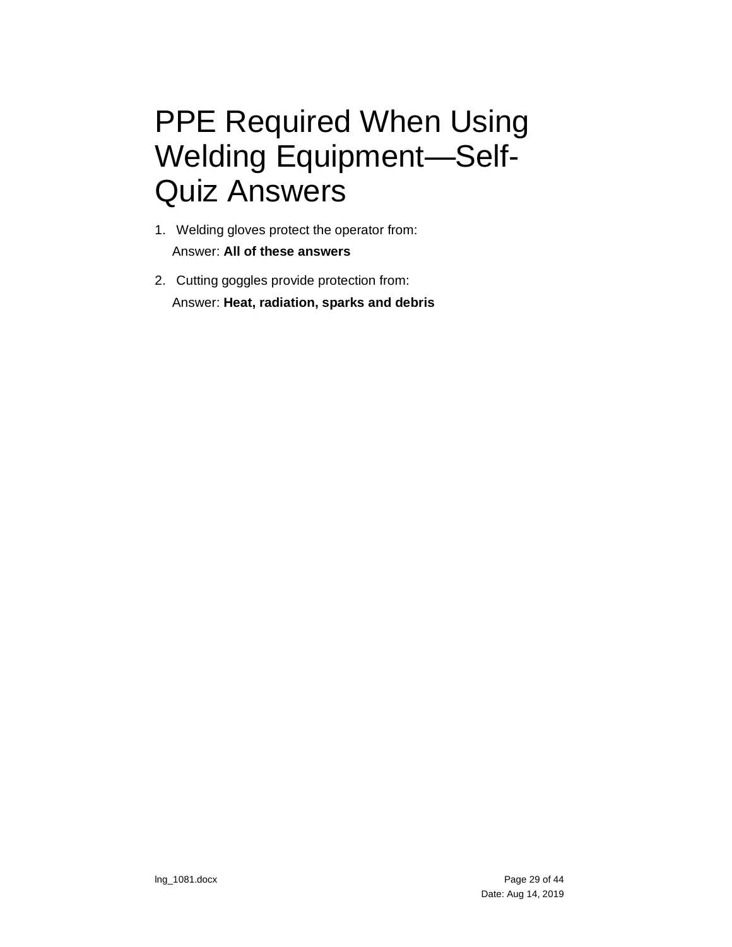# <span id="page-28-0"></span>PPE Required When Using Welding Equipment—Self-Quiz Answers

- 1. Welding gloves protect the operator from: Answer: **All of these answers**
- 2. Cutting goggles provide protection from: Answer: **Heat, radiation, sparks and debris**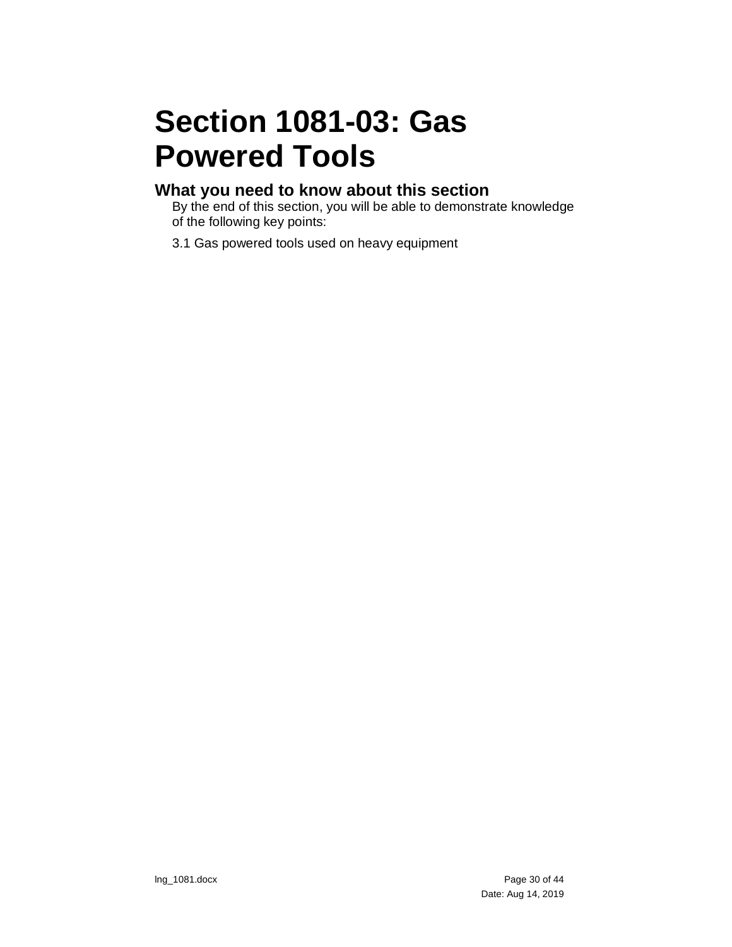# <span id="page-29-0"></span>**Section 1081-03: Gas Powered Tools**

#### **What you need to know about this section**

By the end of this section, you will be able to demonstrate knowledge of the following key points:

3.1 Gas powered tools used on heavy equipment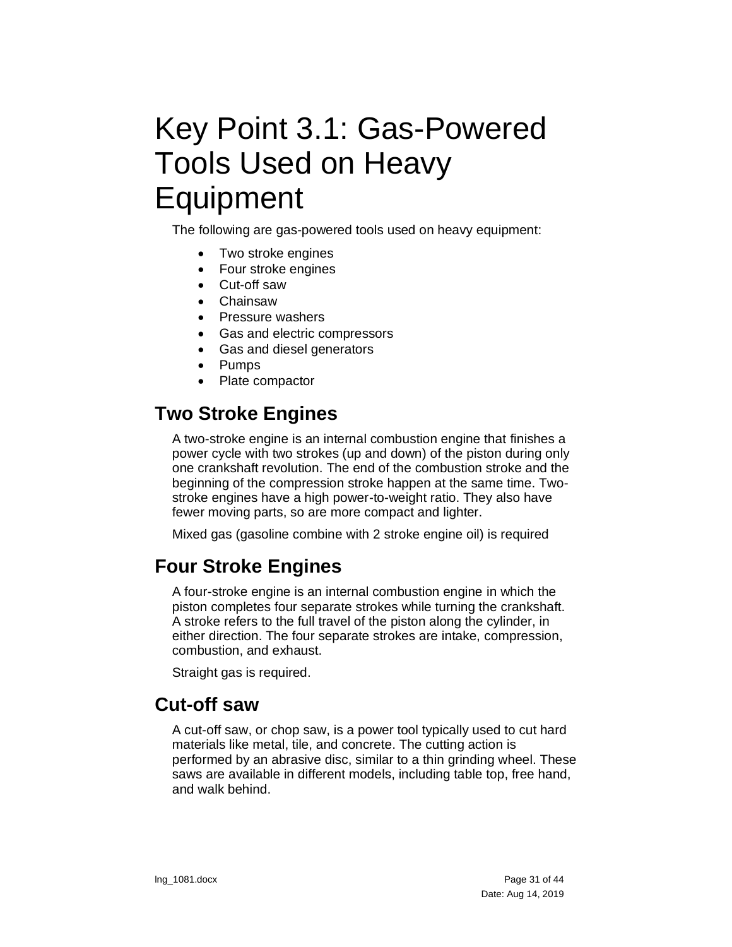# <span id="page-30-0"></span>Key Point 3.1: Gas-Powered Tools Used on Heavy **Equipment**

The following are gas-powered tools used on heavy equipment:

- Two stroke engines
- Four stroke engines
- Cut-off saw
- Chainsaw
- Pressure washers
- Gas and electric compressors
- Gas and diesel generators
- Pumps
- Plate compactor

## <span id="page-30-1"></span>**Two Stroke Engines**

A two-stroke engine is an internal combustion engine that finishes a power cycle with two strokes (up and down) of the piston during only one crankshaft revolution. The end of the combustion stroke and the beginning of the compression stroke happen at the same time. Twostroke engines have a high power-to-weight ratio. They also have fewer moving parts, so are more compact and lighter.

Mixed gas (gasoline combine with 2 stroke engine oil) is required

## <span id="page-30-2"></span>**Four Stroke Engines**

A four-stroke engine is an internal combustion engine in which the piston completes four separate strokes while turning the crankshaft. A stroke refers to the full travel of the piston along the cylinder, in either direction. The four separate strokes are intake, compression, combustion, and exhaust.

Straight gas is required.

### <span id="page-30-3"></span>**Cut-off saw**

A cut-off saw, or chop saw, is a power tool typically used to cut hard materials like metal, tile, and concrete. The cutting action is performed by an abrasive disc, similar to a thin grinding wheel. These saws are available in different models, including table top, free hand, and walk behind.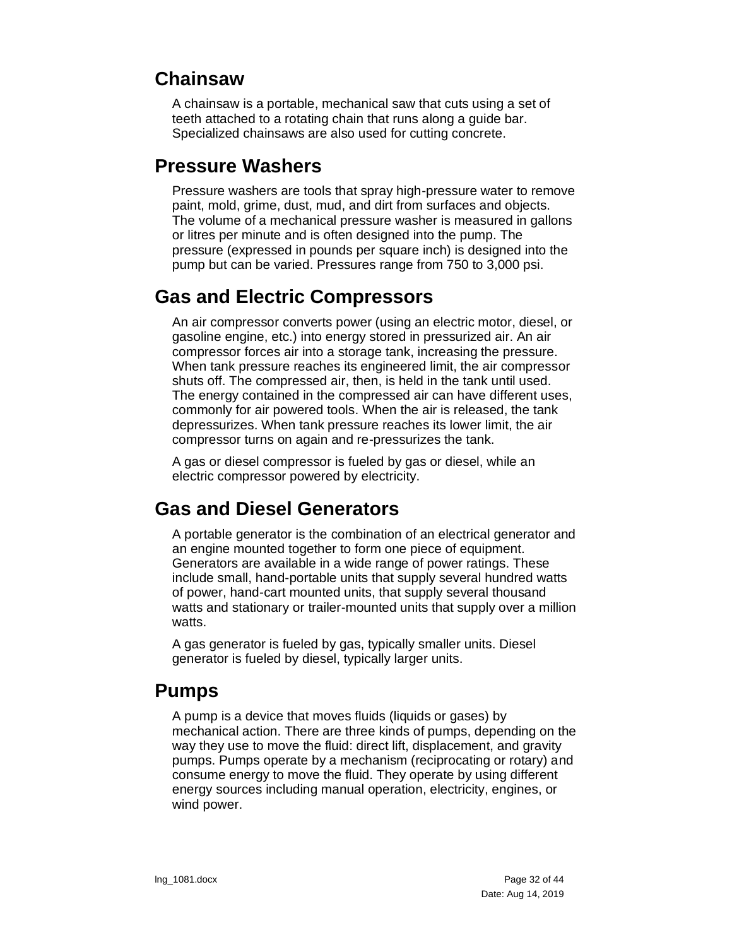## <span id="page-31-0"></span>**Chainsaw**

A chainsaw is a portable, mechanical saw that cuts using a set of teeth attached to a rotating chain that runs along a guide bar. Specialized chainsaws are also used for cutting concrete.

## <span id="page-31-1"></span>**Pressure Washers**

Pressure washers are tools that spray high-pressure water to remove paint, mold, grime, dust, mud, and dirt from surfaces and objects. The volume of a mechanical pressure washer is measured in gallons or litres per minute and is often designed into the pump. The pressure (expressed in pounds per square inch) is designed into the pump but can be varied. Pressures range from 750 to 3,000 psi.

## <span id="page-31-2"></span>**Gas and Electric Compressors**

An air compressor converts power (using an electric motor, diesel, or gasoline engine, etc.) into energy stored in pressurized air. An air compressor forces air into a storage tank, increasing the pressure. When tank pressure reaches its engineered limit, the air compressor shuts off. The compressed air, then, is held in the tank until used. The energy contained in the compressed air can have different uses, commonly for air powered tools. When the air is released, the tank depressurizes. When tank pressure reaches its lower limit, the air compressor turns on again and re-pressurizes the tank.

A gas or diesel compressor is fueled by gas or diesel, while an electric compressor powered by electricity.

## <span id="page-31-3"></span>**Gas and Diesel Generators**

A portable generator is the combination of an electrical generator and an engine mounted together to form one piece of equipment. Generators are available in a wide range of power ratings. These include small, hand-portable units that supply several hundred watts of power, hand-cart mounted units, that supply several thousand watts and stationary or trailer-mounted units that supply over a million watts.

A gas generator is fueled by gas, typically smaller units. Diesel generator is fueled by diesel, typically larger units.

### <span id="page-31-4"></span>**Pumps**

A pump is a device that moves fluids (liquids or gases) by mechanical action. There are three kinds of pumps, depending on the way they use to move the fluid: direct lift, displacement, and gravity pumps. Pumps operate by a mechanism (reciprocating or rotary) and consume energy to move the fluid. They operate by using different energy sources including manual operation, electricity, engines, or wind power.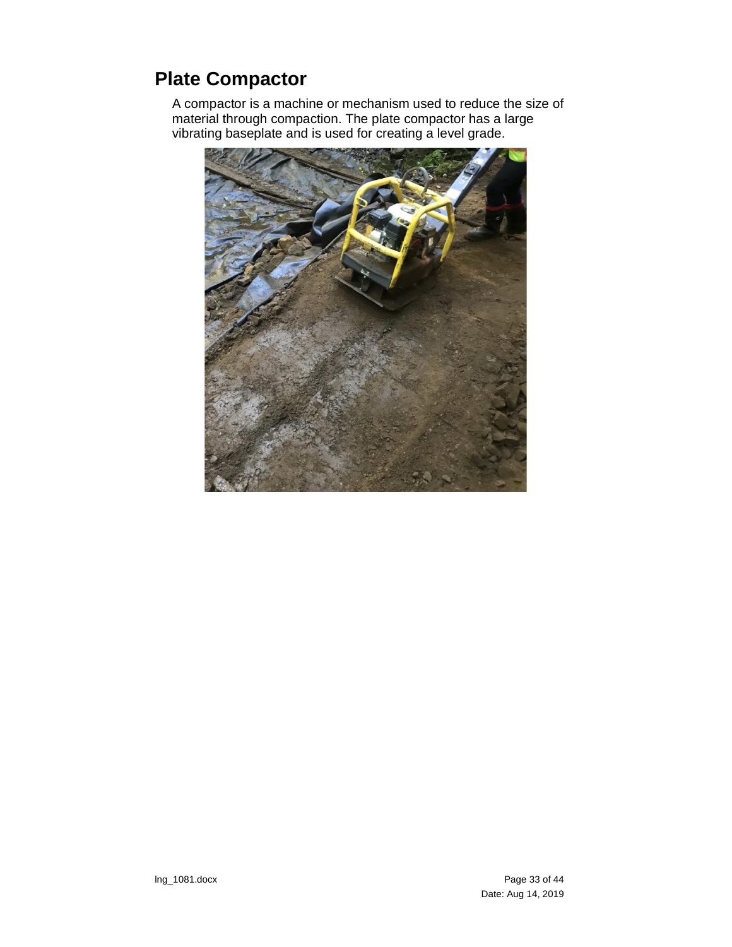## <span id="page-32-0"></span>**Plate Compactor**

A compactor is a machine or mechanism used to reduce the size of material through compaction. The plate compactor has a large vibrating baseplate and is used for creating a level grade.

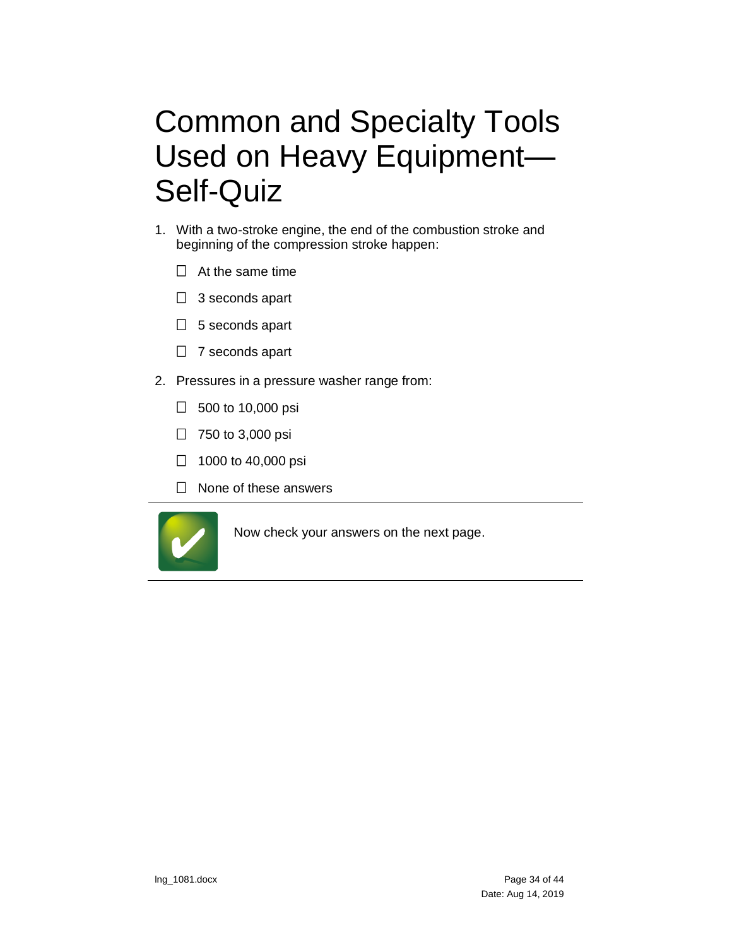# <span id="page-33-0"></span>Common and Specialty Tools Used on Heavy Equipment— Self-Quiz

- 1. With a two-stroke engine, the end of the combustion stroke and beginning of the compression stroke happen:
	- $\Box$  At the same time
	- $\Box$  3 seconds apart
	- $\Box$  5 seconds apart
	- $\Box$  7 seconds apart
- 2. Pressures in a pressure washer range from:
	- $\Box$  500 to 10,000 psi
	- $\Box$  750 to 3,000 psi
	- $\Box$  1000 to 40,000 psi
	- $\Box$  None of these answers



Now check your answers on the next page.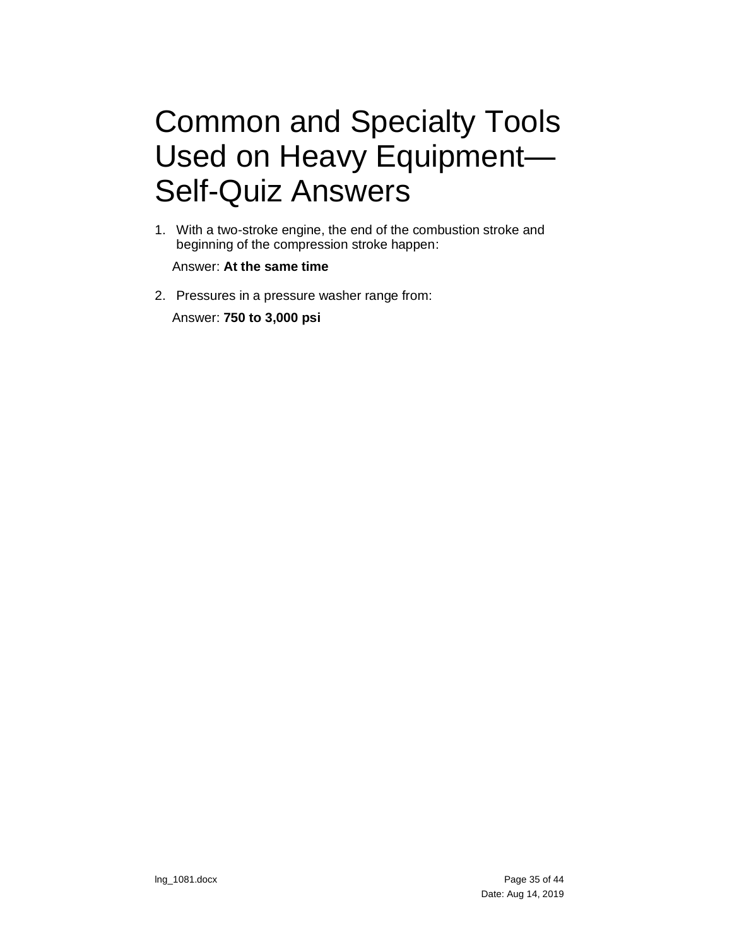# <span id="page-34-0"></span>Common and Specialty Tools Used on Heavy Equipment— Self-Quiz Answers

1. With a two-stroke engine, the end of the combustion stroke and beginning of the compression stroke happen:

Answer: **At the same time**

2. Pressures in a pressure washer range from: Answer: **750 to 3,000 psi**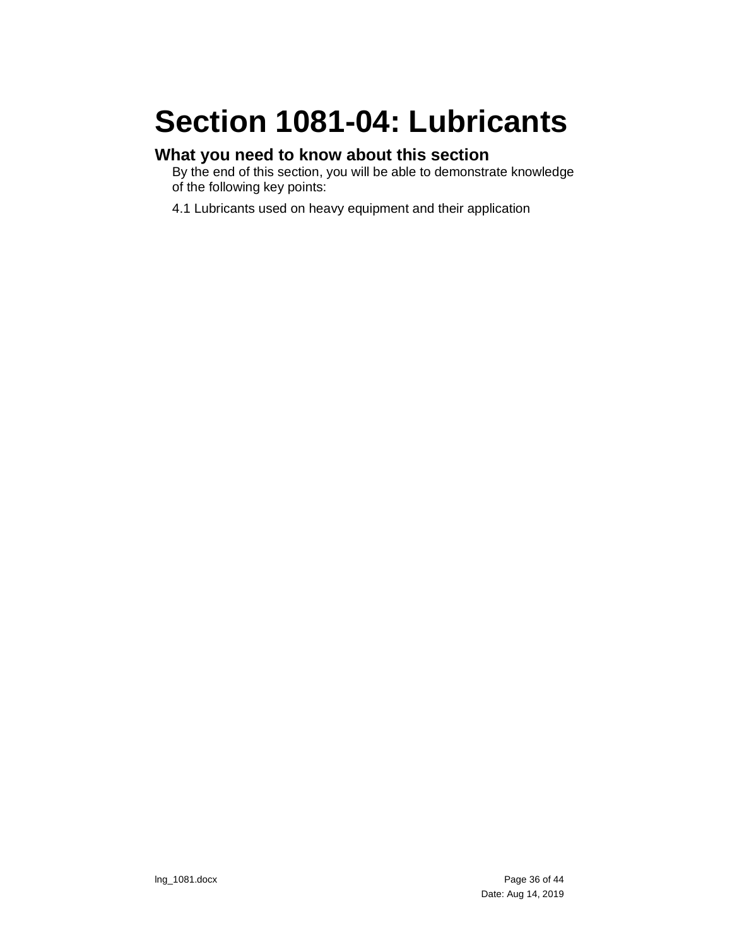# <span id="page-35-0"></span>**Section 1081-04: Lubricants**

## **What you need to know about this section**

By the end of this section, you will be able to demonstrate knowledge of the following key points:

4.1 Lubricants used on heavy equipment and their application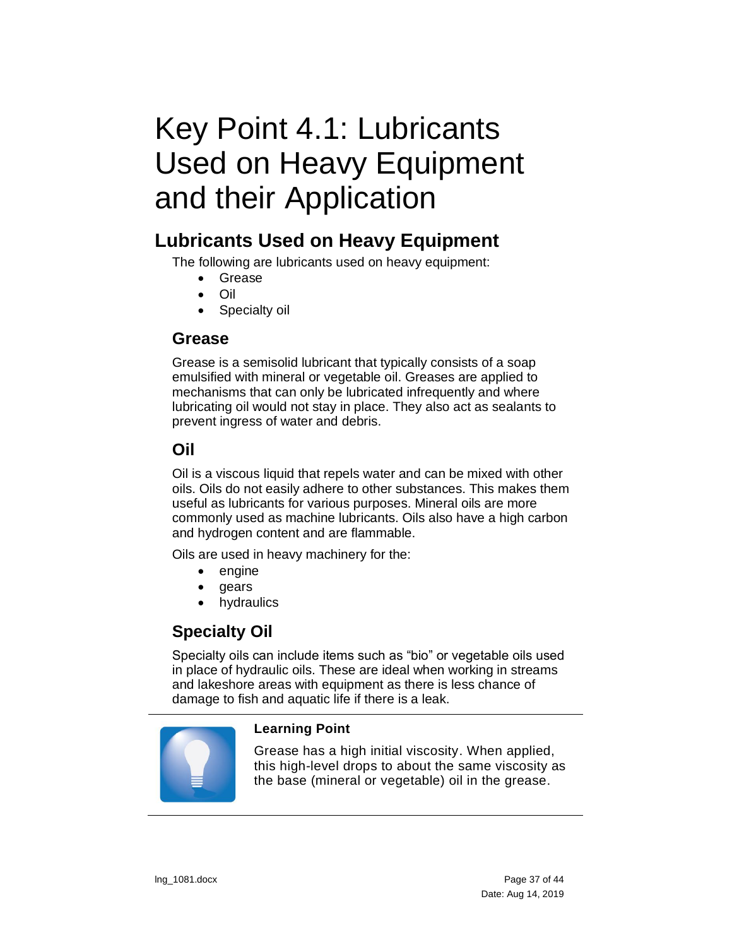# <span id="page-36-0"></span>Key Point 4.1: Lubricants Used on Heavy Equipment and their Application

## <span id="page-36-1"></span>**Lubricants Used on Heavy Equipment**

The following are lubricants used on heavy equipment:

- Grease
- Oil
- Specialty oil

#### <span id="page-36-2"></span>**Grease**

Grease is a semisolid lubricant that typically consists of a soap emulsified with mineral or vegetable oil. Greases are applied to mechanisms that can only be lubricated infrequently and where lubricating oil would not stay in place. They also act as sealants to prevent ingress of water and debris.

#### <span id="page-36-3"></span>**Oil**

Oil is a viscous liquid that repels water and can be mixed with other oils. Oils do not easily adhere to other substances. This makes them useful as lubricants for various purposes. Mineral oils are more commonly used as machine lubricants. Oils also have a high carbon and hydrogen content and are flammable.

Oils are used in heavy machinery for the:

- engine
- gears
- hydraulics

### <span id="page-36-4"></span>**Specialty Oil**

Specialty oils can include items such as "bio" or vegetable oils used in place of hydraulic oils. These are ideal when working in streams and lakeshore areas with equipment as there is less chance of damage to fish and aquatic life if there is a leak.



#### **Learning Point**

Grease has a high initial viscosity. When applied, this high-level drops to about the same viscosity as the base (mineral or vegetable) oil in the grease.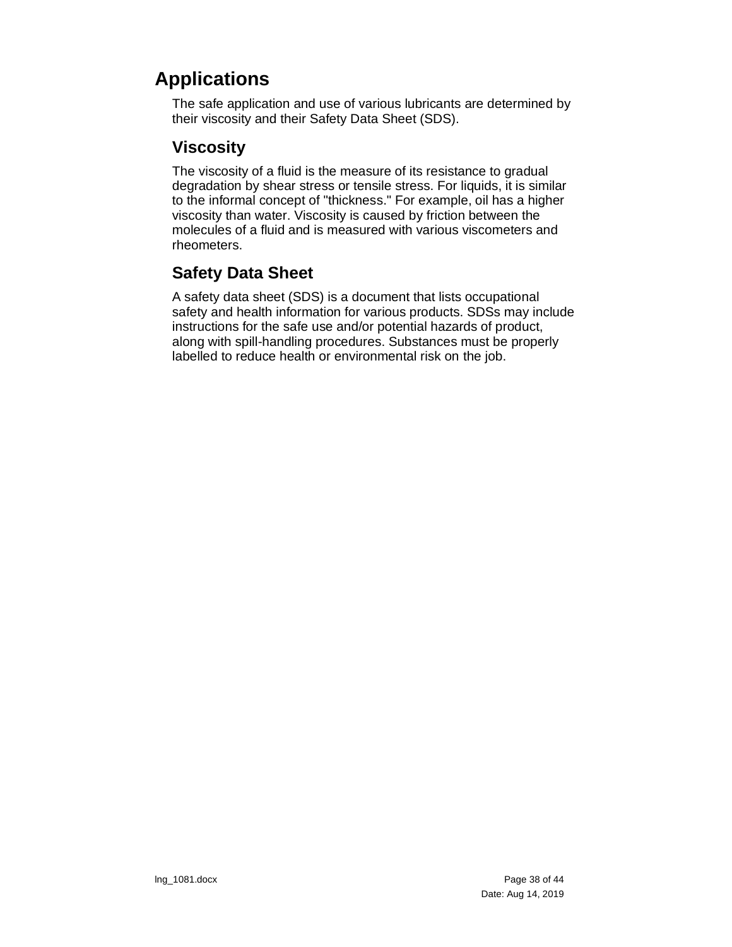## <span id="page-37-0"></span>**Applications**

The safe application and use of various lubricants are determined by their viscosity and their Safety Data Sheet (SDS).

#### <span id="page-37-1"></span>**Viscosity**

The viscosity of a fluid is the measure of its resistance to gradual degradation by shear stress or tensile stress. For liquids, it is similar to the informal concept of "thickness." For example, oil has a higher viscosity than water. Viscosity is caused by friction between the molecules of a fluid and is measured with various viscometers and rheometers.

### <span id="page-37-2"></span>**Safety Data Sheet**

A safety data sheet (SDS) is a document that lists occupational safety and health information for various products. SDSs may include instructions for the safe use and/or potential hazards of product, along with spill-handling procedures. Substances must be properly labelled to reduce health or environmental risk on the job.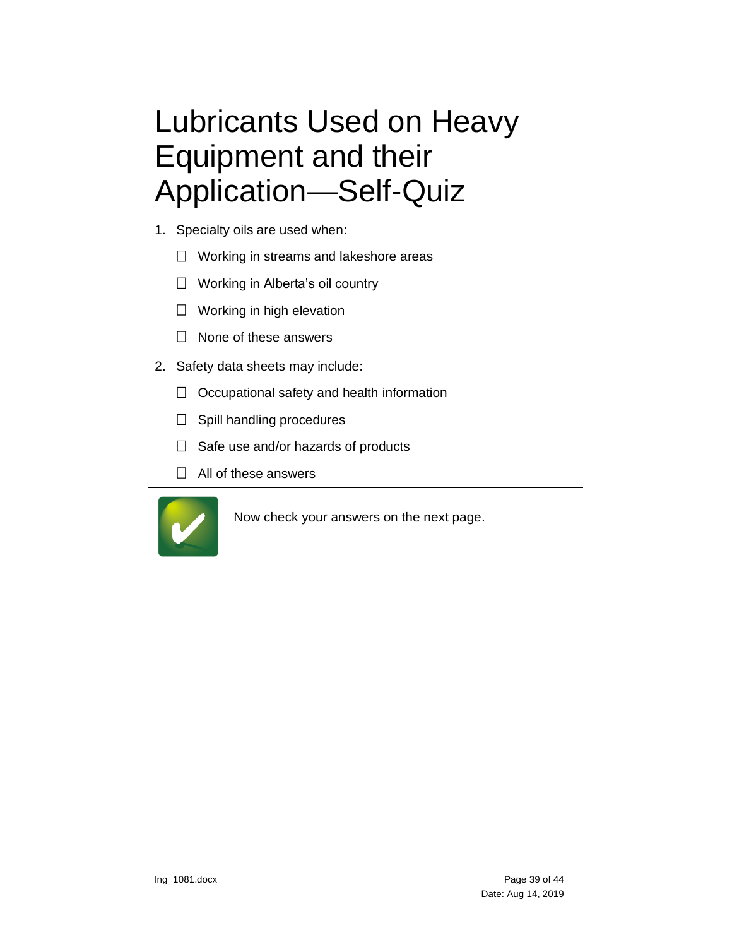# <span id="page-38-0"></span>Lubricants Used on Heavy Equipment and their Application—Self-Quiz

- 1. Specialty oils are used when:
	- $\Box$  Working in streams and lakeshore areas
	- □ Working in Alberta's oil country
	- $\Box$  Working in high elevation
	- $\Box$  None of these answers
- 2. Safety data sheets may include:
	- $\Box$  Occupational safety and health information
	- $\Box$  Spill handling procedures
	- $\Box$  Safe use and/or hazards of products
	- $\Box$  All of these answers



Now check your answers on the next page.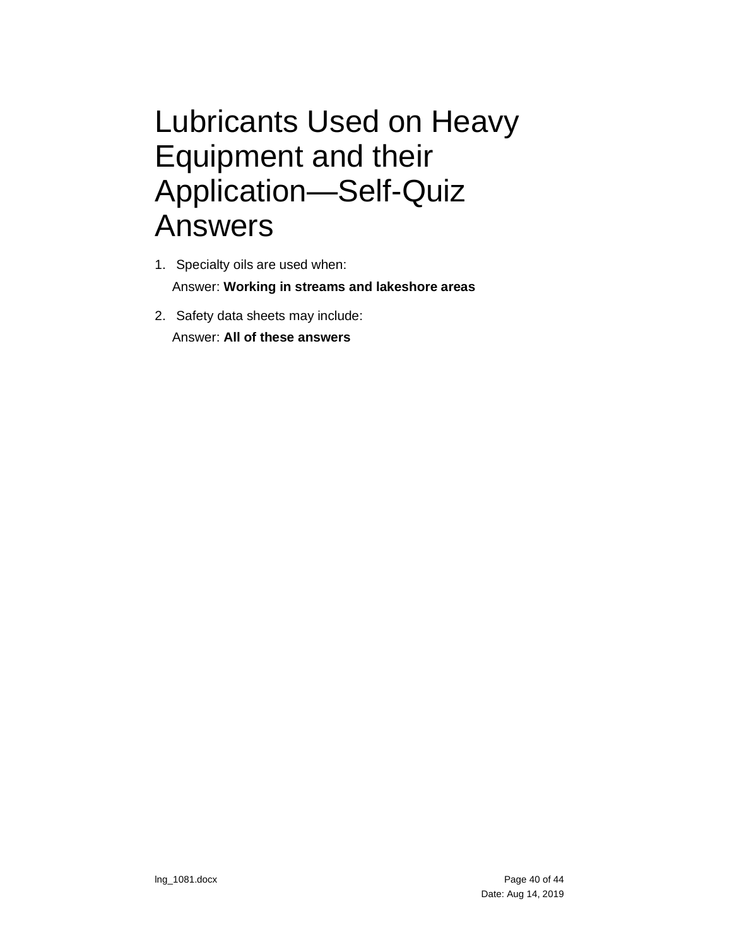## <span id="page-39-0"></span>Lubricants Used on Heavy Equipment and their Application—Self-Quiz Answers

- 1. Specialty oils are used when: Answer: **Working in streams and lakeshore areas**
- 2. Safety data sheets may include: Answer: **All of these answers**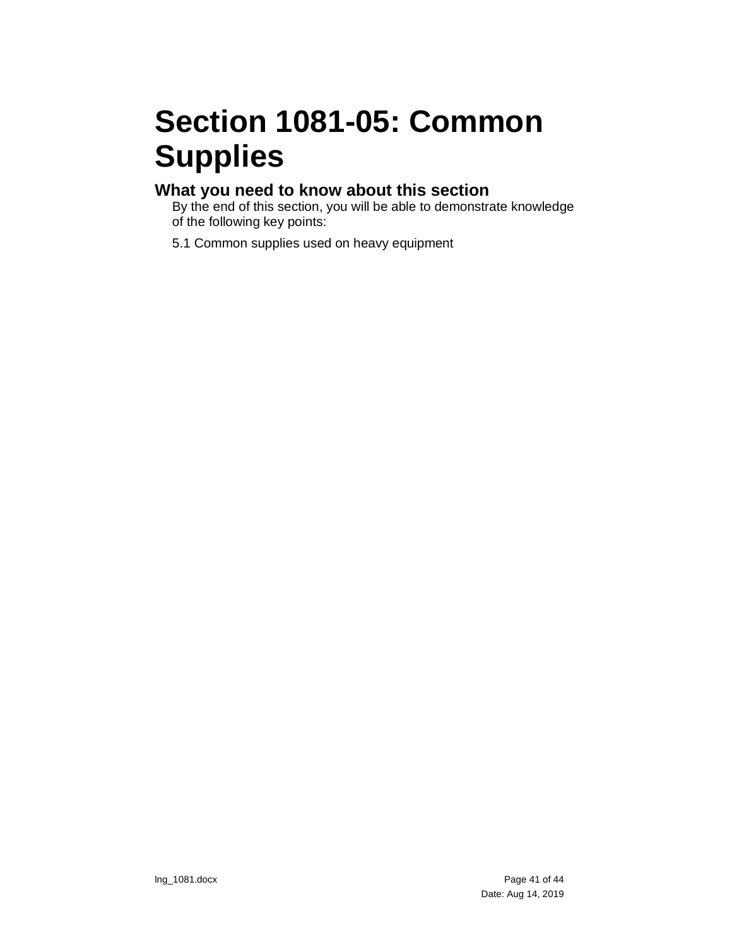# <span id="page-40-0"></span>**Section 1081-05: Common Supplies**

#### **What you need to know about this section**

By the end of this section, you will be able to demonstrate knowledge of the following key points:

5.1 Common supplies used on heavy equipment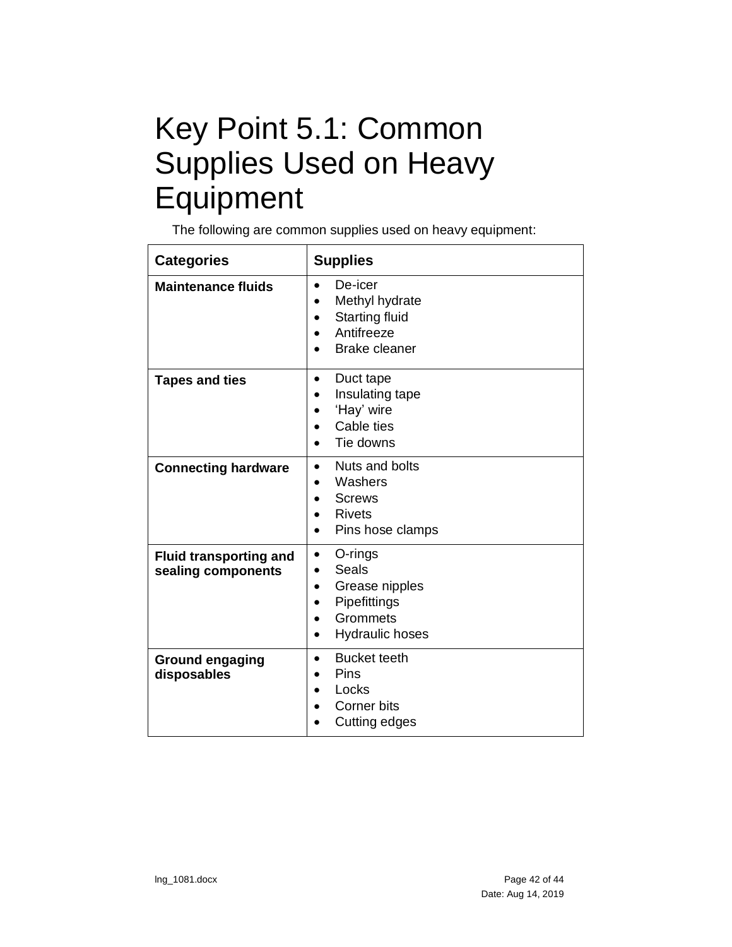# <span id="page-41-0"></span>Key Point 5.1: Common Supplies Used on Heavy Equipment

The following are common supplies used on heavy equipment:

| <b>Categories</b>                                   | <b>Supplies</b>                                                                                                                       |
|-----------------------------------------------------|---------------------------------------------------------------------------------------------------------------------------------------|
| <b>Maintenance fluids</b>                           | De-icer<br>$\bullet$<br>Methyl hydrate<br>Starting fluid<br>Antifreeze<br><b>Brake cleaner</b>                                        |
| <b>Tapes and ties</b>                               | Duct tape<br>$\bullet$<br>Insulating tape<br>'Hay' wire<br>Cable ties<br>Tie downs                                                    |
| <b>Connecting hardware</b>                          | Nuts and bolts<br>$\bullet$<br>Washers<br><b>Screws</b><br>$\bullet$<br><b>Rivets</b><br>$\bullet$<br>Pins hose clamps<br>$\bullet$   |
| <b>Fluid transporting and</b><br>sealing components | O-rings<br>$\bullet$<br>Seals<br>Grease nipples<br>$\bullet$<br>Pipefittings<br>Grommets<br>$\bullet$<br>Hydraulic hoses<br>$\bullet$ |
| <b>Ground engaging</b><br>disposables               | <b>Bucket teeth</b><br>$\bullet$<br>Pins<br>Locks<br>Corner bits<br>Cutting edges                                                     |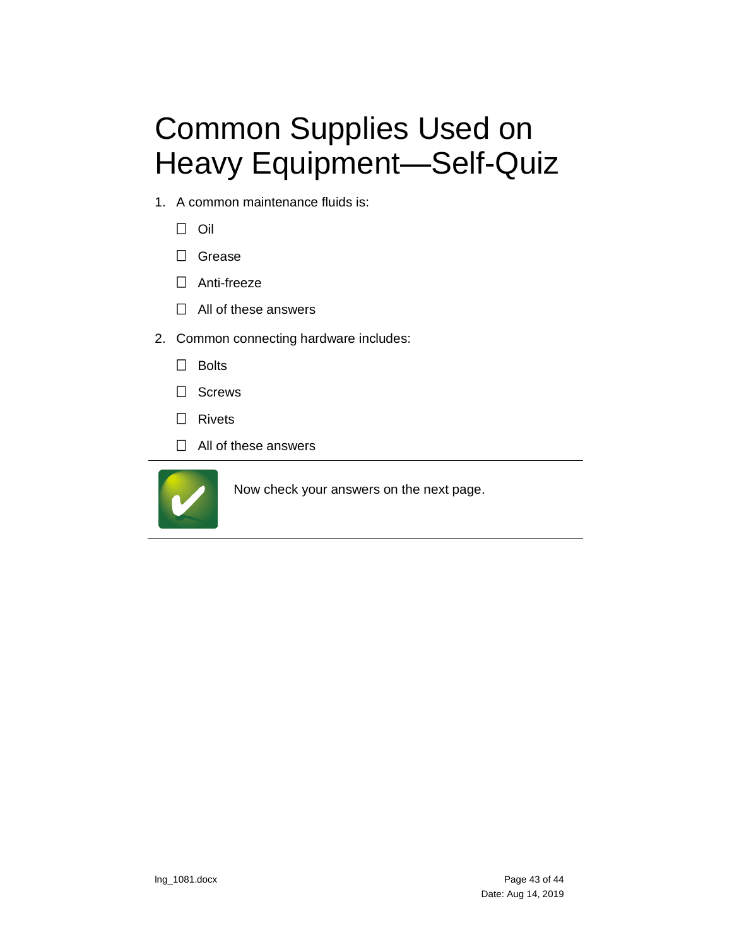# <span id="page-42-0"></span>Common Supplies Used on Heavy Equipment—Self-Quiz

- 1. A common maintenance fluids is:
	- $\Box$  Oil
	- □ Grease
	- □ Anti-freeze
	- $\Box$  All of these answers
- 2. Common connecting hardware includes:
	- $\Box$  Bolts
	- □ Screws
	- □ Rivets
	- $\Box$  All of these answers



Now check your answers on the next page.